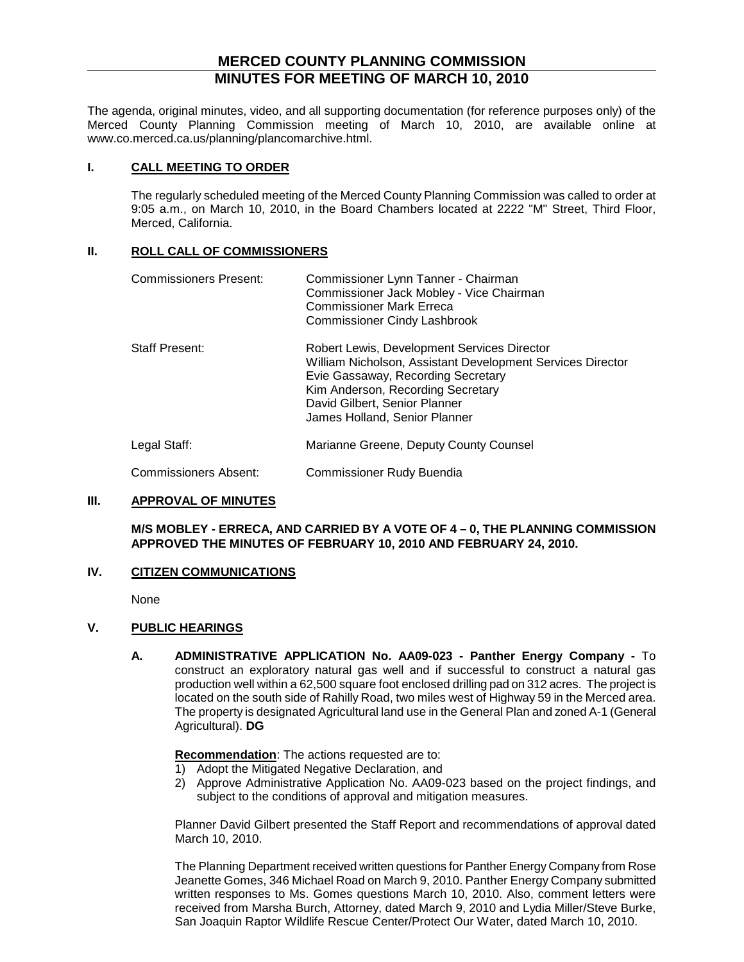## **MERCED COUNTY PLANNING COMMISSION MINUTES FOR MEETING OF MARCH 10, 2010**

The agenda, original minutes, video, and all supporting documentation (for reference purposes only) of the Merced County Planning Commission meeting of March 10, 2010, are available online at www.co.merced.ca.us/planning/plancomarchive.html.

#### **I. CALL MEETING TO ORDER**

The regularly scheduled meeting of the Merced County Planning Commission was called to order at 9:05 a.m., on March 10, 2010, in the Board Chambers located at 2222 "M" Street, Third Floor, Merced, California.

#### **II. ROLL CALL OF COMMISSIONERS**

| <b>Commissioners Present:</b> | Commissioner Lynn Tanner - Chairman<br>Commissioner Jack Mobley - Vice Chairman<br><b>Commissioner Mark Erreca</b><br><b>Commissioner Cindy Lashbrook</b>                                                                                              |
|-------------------------------|--------------------------------------------------------------------------------------------------------------------------------------------------------------------------------------------------------------------------------------------------------|
| <b>Staff Present:</b>         | Robert Lewis, Development Services Director<br>William Nicholson, Assistant Development Services Director<br>Evie Gassaway, Recording Secretary<br>Kim Anderson, Recording Secretary<br>David Gilbert, Senior Planner<br>James Holland, Senior Planner |
| Legal Staff:                  | Marianne Greene, Deputy County Counsel                                                                                                                                                                                                                 |
| Commissioners Absent:         | Commissioner Rudy Buendia                                                                                                                                                                                                                              |

#### **III. APPROVAL OF MINUTES**

#### **M/S MOBLEY - ERRECA, AND CARRIED BY A VOTE OF 4 – 0, THE PLANNING COMMISSION APPROVED THE MINUTES OF FEBRUARY 10, 2010 AND FEBRUARY 24, 2010.**

#### **IV. CITIZEN COMMUNICATIONS**

None

### **V. PUBLIC HEARINGS**

**A. ADMINISTRATIVE APPLICATION No. AA09-023 - Panther Energy Company -** To construct an exploratory natural gas well and if successful to construct a natural gas production well within a 62,500 square foot enclosed drilling pad on 312 acres. The project is located on the south side of Rahilly Road, two miles west of Highway 59 in the Merced area. The property is designated Agricultural land use in the General Plan and zoned A-1 (General Agricultural). **DG**

#### **Recommendation** : The actions requested are to:

- 1) Adopt the Mitigated Negative Declaration, and
- 2) Approve Administrative Application No. AA09-023 based on the project findings, and subject to the conditions of approval and mitigation measures.

Planner David Gilbert presented the Staff Report and recommendations of approval dated March 10, 2010.

The Planning Department received written questions for Panther Energy Company from Rose Jeanette Gomes, 346 Michael Road on March 9, 2010. Panther Energy Company submitted written responses to Ms. Gomes questions March 10, 2010. Also, comment letters were received from Marsha Burch, Attorney, dated March 9, 2010 and Lydia Miller/Steve Burke, San Joaquin Raptor Wildlife Rescue Center/Protect Our Water, dated March 10, 2010.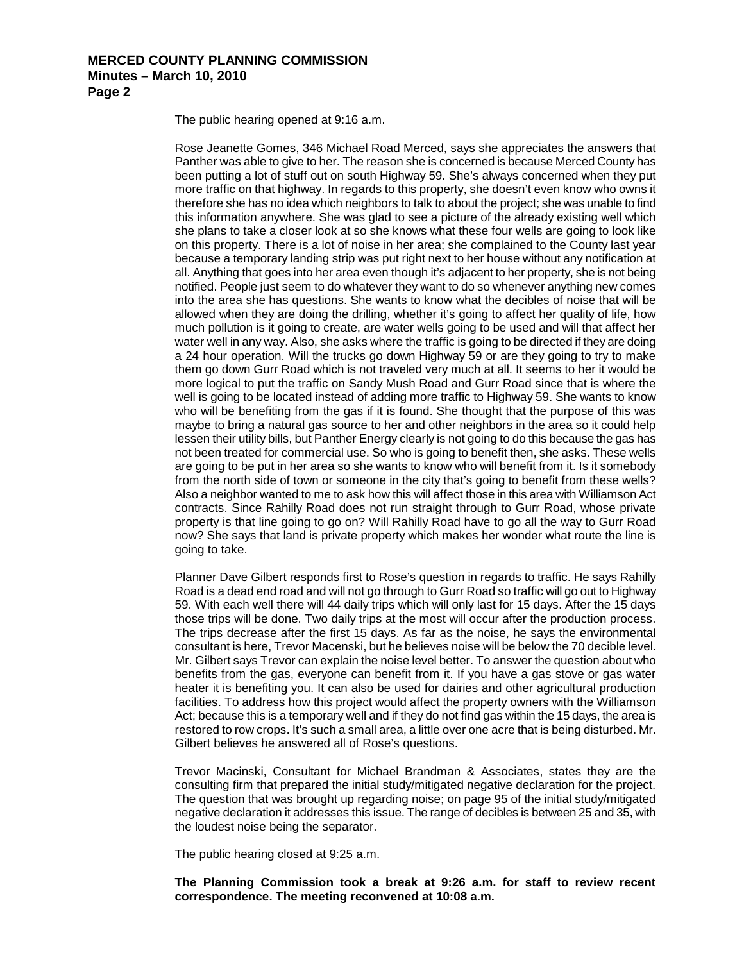The public hearing opened at 9:16 a.m.

Rose Jeanette Gomes, 346 Michael Road Merced, says she appreciates the answers that Panther was able to give to her. The reason she is concerned is because Merced County has been putting a lot of stuff out on south Highway 59. She's always concerned when they put more traffic on that highway. In regards to this property, she doesn't even know who owns it therefore she has no idea which neighbors to talk to about the project; she was unable to find this information anywhere. She was glad to see a picture of the already existing well which she plans to take a closer look at so she knows what these four wells are going to look like on this property. There is a lot of noise in her area; she complained to the County last year because a temporary landing strip was put right next to her house without any notification at all. Anything that goes into her area even though it's adjacent to her property, she is not being notified. People just seem to do whatever they want to do so whenever anything new comes into the area she has questions. She wants to know what the decibles of noise that will be allowed when they are doing the drilling, whether it's going to affect her quality of life, how much pollution is it going to create, are water wells going to be used and will that affect her water well in any way. Also, she asks where the traffic is going to be directed if they are doing a 24 hour operation. Will the trucks go down Highway 59 or are they going to try to make them go down Gurr Road which is not traveled very much at all. It seems to her it would be more logical to put the traffic on Sandy Mush Road and Gurr Road since that is where the well is going to be located instead of adding more traffic to Highway 59. She wants to know who will be benefiting from the gas if it is found. She thought that the purpose of this was maybe to bring a natural gas source to her and other neighbors in the area so it could help lessen their utility bills, but Panther Energy clearly is not going to do this because the gas has not been treated for commercial use. So who is going to benefit then, she asks. These wells are going to be put in her area so she wants to know who will benefit from it. Is it somebody from the north side of town or someone in the city that's going to benefit from these wells? Also a neighbor wanted to me to ask how this will affect those in this area with Williamson Act contracts. Since Rahilly Road does not run straight through to Gurr Road, whose private property is that line going to go on? Will Rahilly Road have to go all the way to Gurr Road now? She says that land is private property which makes her wonder what route the line is going to take.

Planner Dave Gilbert responds first to Rose's question in regards to traffic. He says Rahilly Road is a dead end road and will not go through to Gurr Road so traffic will go out to Highway 59. With each well there will 44 daily trips which will only last for 15 days. After the 15 days those trips will be done. Two daily trips at the most will occur after the production process. The trips decrease after the first 15 days. As far as the noise, he says the environmental consultant is here, Trevor Macenski, but he believes noise will be below the 70 decible level. Mr. Gilbert says Trevor can explain the noise level better. To answer the question about who benefits from the gas, everyone can benefit from it. If you have a gas stove or gas water heater it is benefiting you. It can also be used for dairies and other agricultural production facilities. To address how this project would affect the property owners with the Williamson Act; because this is a temporary well and if they do not find gas within the 15 days, the area is restored to row crops. It's such a small area, a little over one acre that is being disturbed. Mr. Gilbert believes he answered all of Rose's questions.

Trevor Macinski, Consultant for Michael Brandman & Associates, states they are the consulting firm that prepared the initial study/mitigated negative declaration for the project. The question that was brought up regarding noise; on page 95 of the initial study/mitigated negative declaration it addresses this issue. The range of decibles is between 25 and 35, with the loudest noise being the separator.

The public hearing closed at 9:25 a.m.

**The Planning Commission took a break at 9:26 a.m. for staff to review recent correspondence. The meeting reconvened at 10:08 a.m.**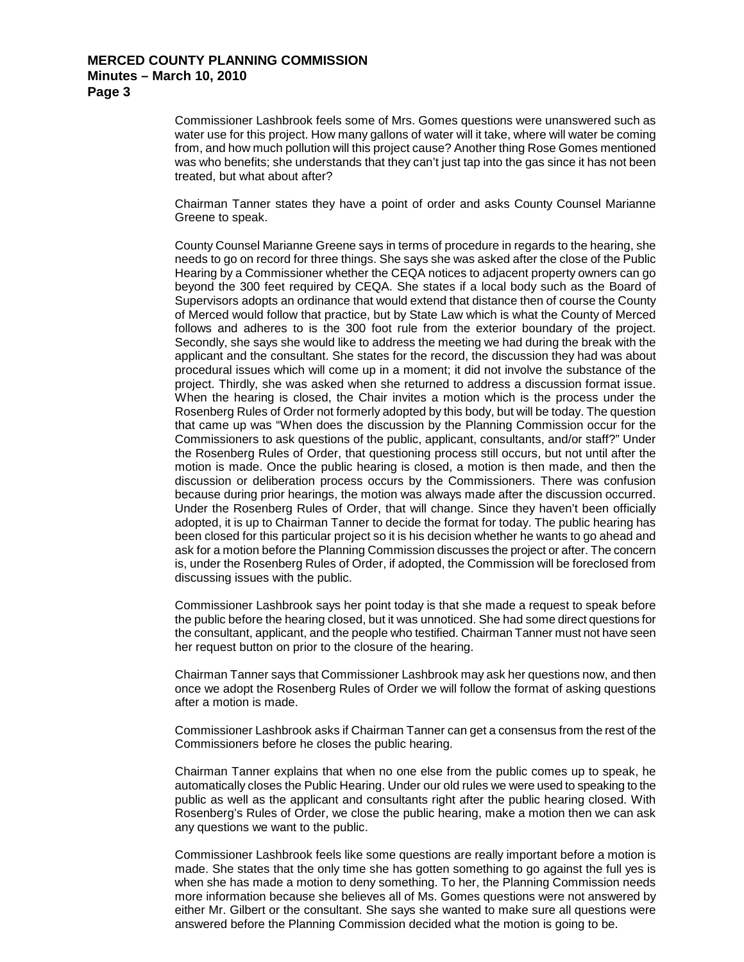Commissioner Lashbrook feels some of Mrs. Gomes questions were unanswered such as water use for this project. How many gallons of water will it take, where will water be coming from, and how much pollution will this project cause? Another thing Rose Gomes mentioned was who benefits; she understands that they can't just tap into the gas since it has not been treated, but what about after?

Chairman Tanner states they have a point of order and asks County Counsel Marianne Greene to speak.

County Counsel Marianne Greene says in terms of procedure in regards to the hearing, she needs to go on record for three things. She says she was asked after the close of the Public Hearing by a Commissioner whether the CEQA notices to adjacent property owners can go beyond the 300 feet required by CEQA. She states if a local body such as the Board of Supervisors adopts an ordinance that would extend that distance then of course the County of Merced would follow that practice, but by State Law which is what the County of Merced follows and adheres to is the 300 foot rule from the exterior boundary of the project. Secondly, she says she would like to address the meeting we had during the break with the applicant and the consultant. She states for the record, the discussion they had was about procedural issues which will come up in a moment; it did not involve the substance of the project. Thirdly, she was asked when she returned to address a discussion format issue. When the hearing is closed, the Chair invites a motion which is the process under the Rosenberg Rules of Order not formerly adopted by this body, but will be today. The question that came up was "When does the discussion by the Planning Commission occur for the Commissioners to ask questions of the public, applicant, consultants, and/or staff?" Under the Rosenberg Rules of Order, that questioning process still occurs, but not until after the motion is made. Once the public hearing is closed, a motion is then made, and then the discussion or deliberation process occurs by the Commissioners. There was confusion because during prior hearings, the motion was always made after the discussion occurred. Under the Rosenberg Rules of Order, that will change. Since they haven't been officially adopted, it is up to Chairman Tanner to decide the format for today. The public hearing has been closed for this particular project so it is his decision whether he wants to go ahead and ask for a motion before the Planning Commission discusses the project or after. The concern is, under the Rosenberg Rules of Order, if adopted, the Commission will be foreclosed from discussing issues with the public.

Commissioner Lashbrook says her point today is that she made a request to speak before the public before the hearing closed, but it was unnoticed. She had some direct questions for the consultant, applicant, and the people who testified. Chairman Tanner must not have seen her request button on prior to the closure of the hearing.

Chairman Tanner says that Commissioner Lashbrook may ask her questions now, and then once we adopt the Rosenberg Rules of Order we will follow the format of asking questions after a motion is made.

Commissioner Lashbrook asks if Chairman Tanner can get a consensus from the rest of the Commissioners before he closes the public hearing.

Chairman Tanner explains that when no one else from the public comes up to speak, he automatically closes the Public Hearing. Under our old rules we were used to speaking to the public as well as the applicant and consultants right after the public hearing closed. With Rosenberg's Rules of Order, we close the public hearing, make a motion then we can ask any questions we want to the public.

Commissioner Lashbrook feels like some questions are really important before a motion is made. She states that the only time she has gotten something to go against the full yes is when she has made a motion to deny something. To her, the Planning Commission needs more information because she believes all of Ms. Gomes questions were not answered by either Mr. Gilbert or the consultant. She says she wanted to make sure all questions were answered before the Planning Commission decided what the motion is going to be.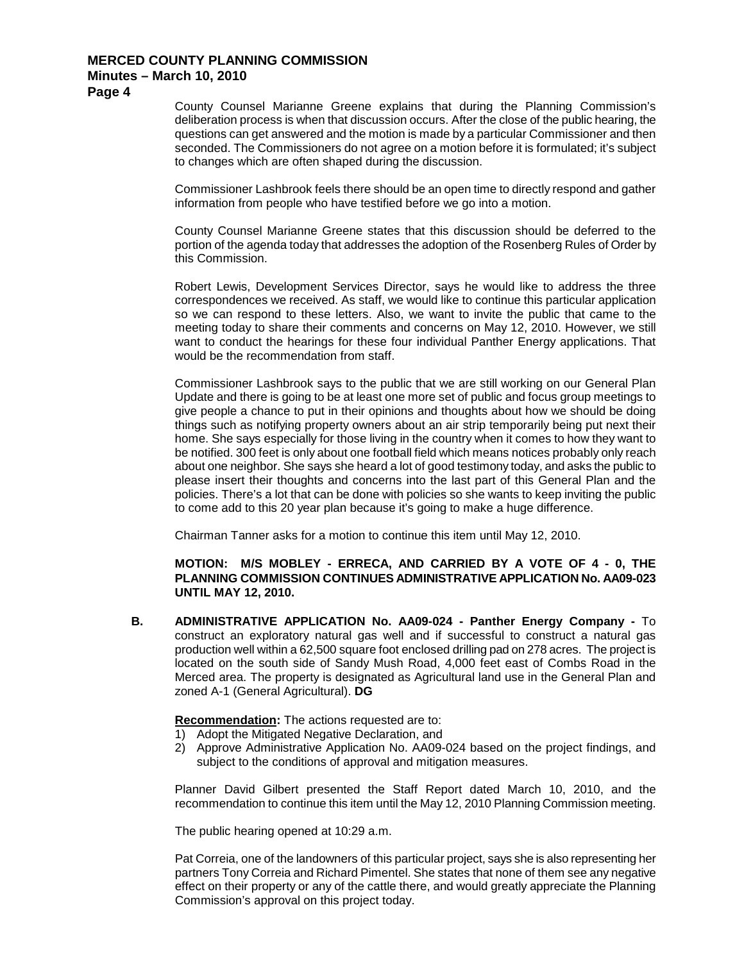**Page 4**

County Counsel Marianne Greene explains that during the Planning Commission's deliberation process is when that discussion occurs. After the close of the public hearing, the questions can get answered and the motion is made by a particular Commissioner and then seconded. The Commissioners do not agree on a motion before it is formulated; it's subject to changes which are often shaped during the discussion.

Commissioner Lashbrook feels there should be an open time to directly respond and gather information from people who have testified before we go into a motion.

County Counsel Marianne Greene states that this discussion should be deferred to the portion of the agenda today that addresses the adoption of the Rosenberg Rules of Order by this Commission.

Robert Lewis, Development Services Director, says he would like to address the three correspondences we received. As staff, we would like to continue this particular application so we can respond to these letters. Also, we want to invite the public that came to the meeting today to share their comments and concerns on May 12, 2010. However, we still want to conduct the hearings for these four individual Panther Energy applications. That would be the recommendation from staff.

Commissioner Lashbrook says to the public that we are still working on our General Plan Update and there is going to be at least one more set of public and focus group meetings to give people a chance to put in their opinions and thoughts about how we should be doing things such as notifying property owners about an air strip temporarily being put next their home. She says especially for those living in the country when it comes to how they want to be notified. 300 feet is only about one football field which means notices probably only reach about one neighbor. She says she heard a lot of good testimony today, and asks the public to please insert their thoughts and concerns into the last part of this General Plan and the policies. There's a lot that can be done with policies so she wants to keep inviting the public to come add to this 20 year plan because it's going to make a huge difference.

Chairman Tanner asks for a motion to continue this item until May 12, 2010.

**MOTION: M/S MOBLEY - ERRECA, AND CARRIED BY A VOTE OF 4 - 0, THE PLANNING COMMISSION CONTINUES ADMINISTRATIVE APPLICATION No. AA09-023 UNTIL MAY 12, 2010.**

**B. ADMINISTRATIVE APPLICATION No. AA09-024 - Panther Energy Company -** To construct an exploratory natural gas well and if successful to construct a natural gas production well within a 62,500 square foot enclosed drilling pad on 278 acres. The project is located on the south side of Sandy Mush Road, 4,000 feet east of Combs Road in the Merced area. The property is designated as Agricultural land use in the General Plan and zoned A-1 (General Agricultural). **DG**

**Recommendation :** The actions requested are to:

- 1) Adopt the Mitigated Negative Declaration, and
- 2) Approve Administrative Application No. AA09-024 based on the project findings, and subject to the conditions of approval and mitigation measures.

Planner David Gilbert presented the Staff Report dated March 10, 2010, and the recommendation to continue this item until the May 12, 2010 Planning Commission meeting.

The public hearing opened at 10:29 a.m.

Pat Correia, one of the landowners of this particular project, says she is also representing her partners Tony Correia and Richard Pimentel. She states that none of them see any negative effect on their property or any of the cattle there, and would greatly appreciate the Planning Commission's approval on this project today.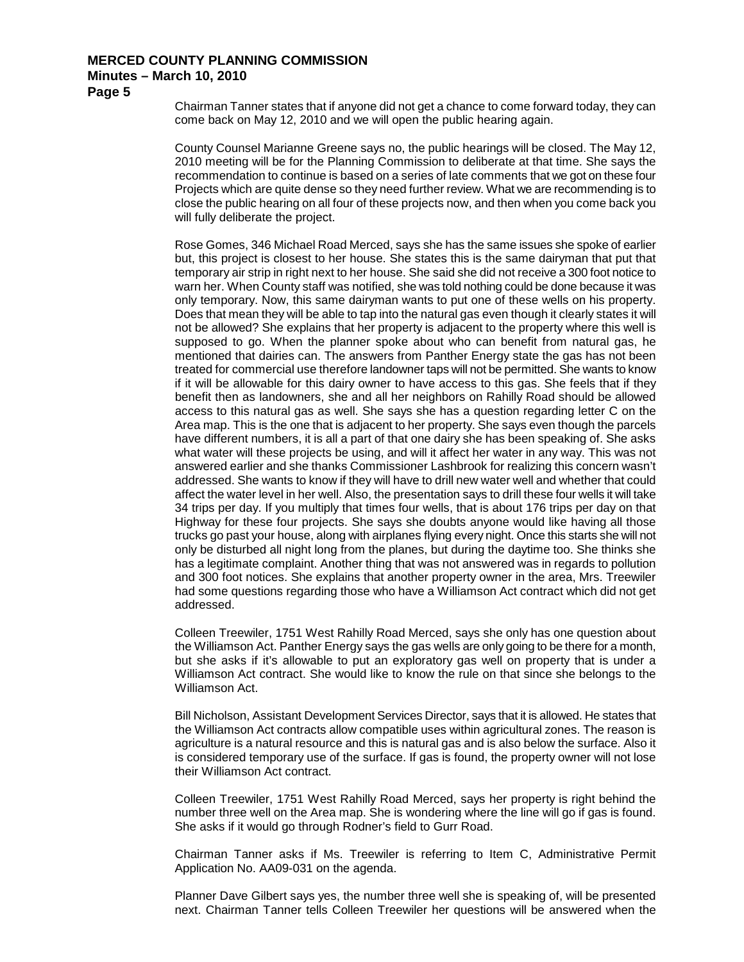**Page 5**

Chairman Tanner states that if anyone did not get a chance to come forward today, they can come back on May 12, 2010 and we will open the public hearing again.

County Counsel Marianne Greene says no, the public hearings will be closed. The May 12, 2010 meeting will be for the Planning Commission to deliberate at that time. She says the recommendation to continue is based on a series of late comments that we got on these four Projects which are quite dense so they need further review. What we are recommending is to close the public hearing on all four of these projects now, and then when you come back you will fully deliberate the project.

Rose Gomes, 346 Michael Road Merced, says she has the same issues she spoke of earlier but, this project is closest to her house. She states this is the same dairyman that put that temporary air strip in right next to her house. She said she did not receive a 300 foot notice to warn her. When County staff was notified, she was told nothing could be done because it was only temporary. Now, this same dairyman wants to put one of these wells on his property. Does that mean they will be able to tap into the natural gas even though it clearly states it will not be allowed? She explains that her property is adjacent to the property where this well is supposed to go. When the planner spoke about who can benefit from natural gas, he mentioned that dairies can. The answers from Panther Energy state the gas has not been treated for commercial use therefore landowner taps will not be permitted. She wants to know if it will be allowable for this dairy owner to have access to this gas. She feels that if they benefit then as landowners, she and all her neighbors on Rahilly Road should be allowed access to this natural gas as well. She says she has a question regarding letter C on the Area map. This is the one that is adjacent to her property. She says even though the parcels have different numbers, it is all a part of that one dairy she has been speaking of. She asks what water will these projects be using, and will it affect her water in any way. This was not answered earlier and she thanks Commissioner Lashbrook for realizing this concern wasn't addressed. She wants to know if they will have to drill new water well and whether that could affect the water level in her well. Also, the presentation says to drill these four wells it will take 34 trips per day. If you multiply that times four wells, that is about 176 trips per day on that Highway for these four projects. She says she doubts anyone would like having all those trucks go past your house, along with airplanes flying every night. Once this starts she will not only be disturbed all night long from the planes, but during the daytime too. She thinks she has a legitimate complaint. Another thing that was not answered was in regards to pollution and 300 foot notices. She explains that another property owner in the area, Mrs. Treewiler had some questions regarding those who have a Williamson Act contract which did not get addressed.

Colleen Treewiler, 1751 West Rahilly Road Merced, says she only has one question about the Williamson Act. Panther Energy says the gas wells are only going to be there for a month, but she asks if it's allowable to put an exploratory gas well on property that is under a Williamson Act contract. She would like to know the rule on that since she belongs to the Williamson Act.

Bill Nicholson, Assistant Development Services Director, says that it is allowed. He states that the Williamson Act contracts allow compatible uses within agricultural zones. The reason is agriculture is a natural resource and this is natural gas and is also below the surface. Also it is considered temporary use of the surface. If gas is found, the property owner will not lose their Williamson Act contract.

Colleen Treewiler, 1751 West Rahilly Road Merced, says her property is right behind the number three well on the Area map. She is wondering where the line will go if gas is found. She asks if it would go through Rodner's field to Gurr Road.

Chairman Tanner asks if Ms. Treewiler is referring to Item C, Administrative Permit Application No. AA09-031 on the agenda.

Planner Dave Gilbert says yes, the number three well she is speaking of, will be presented next. Chairman Tanner tells Colleen Treewiler her questions will be answered when the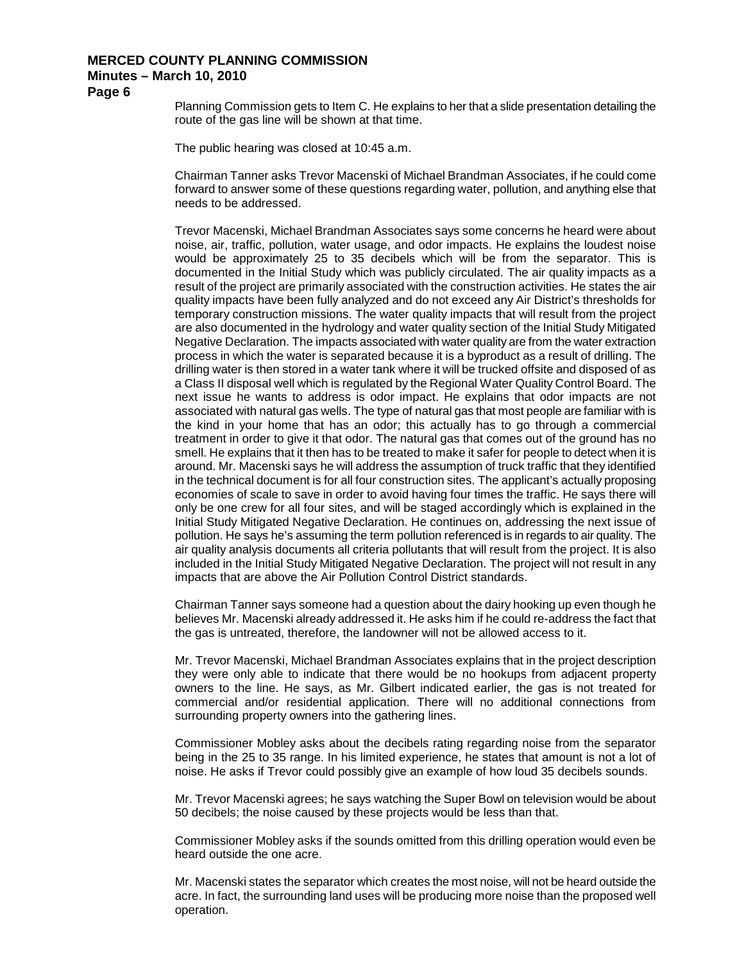**Page 6**

Planning Commission gets to Item C. He explains to her that a slide presentation detailing the route of the gas line will be shown at that time.

The public hearing was closed at 10:45 a.m.

Chairman Tanner asks Trevor Macenski of Michael Brandman Associates, if he could come forward to answer some of these questions regarding water, pollution, and anything else that needs to be addressed.

Trevor Macenski, Michael Brandman Associates says some concerns he heard were about noise, air, traffic, pollution, water usage, and odor impacts. He explains the loudest noise would be approximately 25 to 35 decibels which will be from the separator. This is documented in the Initial Study which was publicly circulated. The air quality impacts as a result of the project are primarily associated with the construction activities. He states the air quality impacts have been fully analyzed and do not exceed any Air District's thresholds for temporary construction missions. The water quality impacts that will result from the project are also documented in the hydrology and water quality section of the Initial Study Mitigated Negative Declaration. The impacts associated with water quality are from the water extraction process in which the water is separated because it is a byproduct as a result of drilling. The drilling water is then stored in a water tank where it will be trucked offsite and disposed of as a Class II disposal well which is regulated by the Regional Water Quality Control Board. The next issue he wants to address is odor impact. He explains that odor impacts are not associated with natural gas wells. The type of natural gas that most people are familiar with is the kind in your home that has an odor; this actually has to go through a commercial treatment in order to give it that odor. The natural gas that comes out of the ground has no smell. He explains that it then has to be treated to make it safer for people to detect when it is around. Mr. Macenski says he will address the assumption of truck traffic that they identified in the technical document is for all four construction sites. The applicant's actually proposing economies of scale to save in order to avoid having four times the traffic. He says there will only be one crew for all four sites, and will be staged accordingly which is explained in the Initial Study Mitigated Negative Declaration. He continues on, addressing the next issue of pollution. He says he's assuming the term pollution referenced is in regards to air quality. The air quality analysis documents all criteria pollutants that will result from the project. It is also included in the Initial Study Mitigated Negative Declaration. The project will not result in any impacts that are above the Air Pollution Control District standards.

Chairman Tanner says someone had a question about the dairy hooking up even though he believes Mr. Macenski already addressed it. He asks him if he could re-address the fact that the gas is untreated, therefore, the landowner will not be allowed access to it.

Mr. Trevor Macenski, Michael Brandman Associates explains that in the project description they were only able to indicate that there would be no hookups from adjacent property owners to the line. He says, as Mr. Gilbert indicated earlier, the gas is not treated for commercial and/or residential application. There will no additional connections from surrounding property owners into the gathering lines.

Commissioner Mobley asks about the decibels rating regarding noise from the separator being in the 25 to 35 range. In his limited experience, he states that amount is not a lot of noise. He asks if Trevor could possibly give an example of how loud 35 decibels sounds.

Mr. Trevor Macenski agrees; he says watching the Super Bowl on television would be about 50 decibels; the noise caused by these projects would be less than that.

Commissioner Mobley asks if the sounds omitted from this drilling operation would even be heard outside the one acre.

Mr. Macenski states the separator which creates the most noise, will not be heard outside the acre. In fact, the surrounding land uses will be producing more noise than the proposed well operation.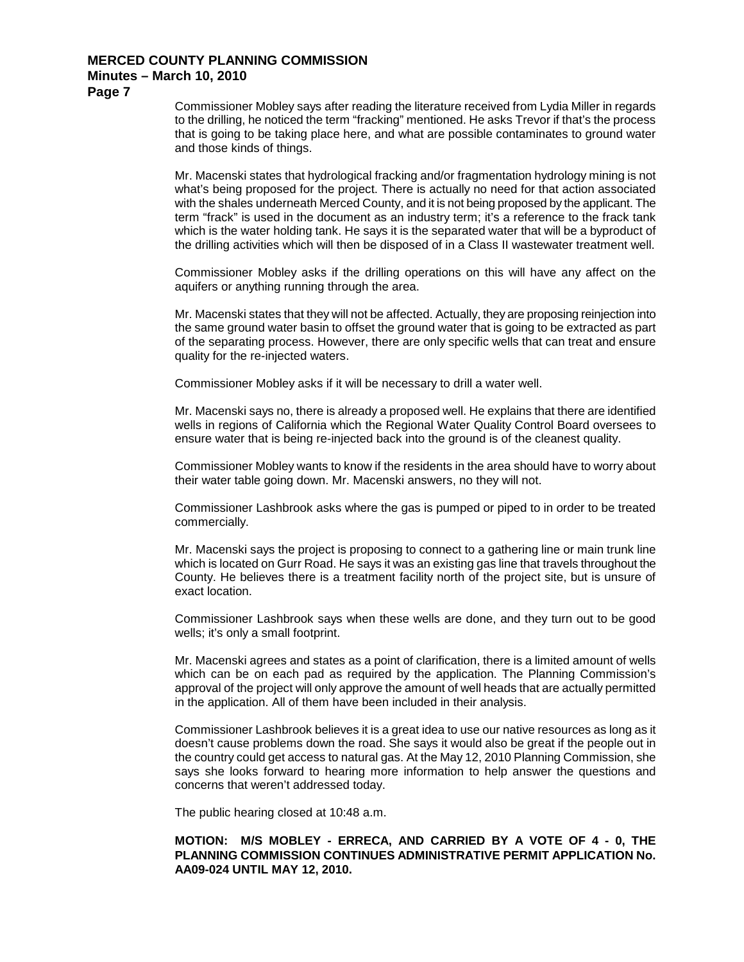**Page 7**

Commissioner Mobley says after reading the literature received from Lydia Miller in regards to the drilling, he noticed the term "fracking" mentioned. He asks Trevor if that's the process that is going to be taking place here, and what are possible contaminates to ground water and those kinds of things.

Mr. Macenski states that hydrological fracking and/or fragmentation hydrology mining is not what's being proposed for the project. There is actually no need for that action associated with the shales underneath Merced County, and it is not being proposed by the applicant. The term "frack" is used in the document as an industry term; it's a reference to the frack tank which is the water holding tank. He says it is the separated water that will be a byproduct of the drilling activities which will then be disposed of in a Class II wastewater treatment well.

Commissioner Mobley asks if the drilling operations on this will have any affect on the aquifers or anything running through the area.

Mr. Macenski states that they will not be affected. Actually, they are proposing reinjection into the same ground water basin to offset the ground water that is going to be extracted as part of the separating process. However, there are only specific wells that can treat and ensure quality for the re-injected waters.

Commissioner Mobley asks if it will be necessary to drill a water well.

Mr. Macenski says no, there is already a proposed well. He explains that there are identified wells in regions of California which the Regional Water Quality Control Board oversees to ensure water that is being re-injected back into the ground is of the cleanest quality.

Commissioner Mobley wants to know if the residents in the area should have to worry about their water table going down. Mr. Macenski answers, no they will not.

Commissioner Lashbrook asks where the gas is pumped or piped to in order to be treated commercially.

Mr. Macenski says the project is proposing to connect to a gathering line or main trunk line which is located on Gurr Road. He says it was an existing gas line that travels throughout the County. He believes there is a treatment facility north of the project site, but is unsure of exact location.

Commissioner Lashbrook says when these wells are done, and they turn out to be good wells; it's only a small footprint.

Mr. Macenski agrees and states as a point of clarification, there is a limited amount of wells which can be on each pad as required by the application. The Planning Commission's approval of the project will only approve the amount of well heads that are actually permitted in the application. All of them have been included in their analysis.

Commissioner Lashbrook believes it is a great idea to use our native resources as long as it doesn't cause problems down the road. She says it would also be great if the people out in the country could get access to natural gas. At the May 12, 2010 Planning Commission, she says she looks forward to hearing more information to help answer the questions and concerns that weren't addressed today.

The public hearing closed at 10:48 a.m.

### **MOTION: M/S MOBLEY - ERRECA, AND CARRIED BY A VOTE OF 4 - 0, THE PLANNING COMMISSION CONTINUES ADMINISTRATIVE PERMIT APPLICATION No. AA09-024 UNTIL MAY 12, 2010.**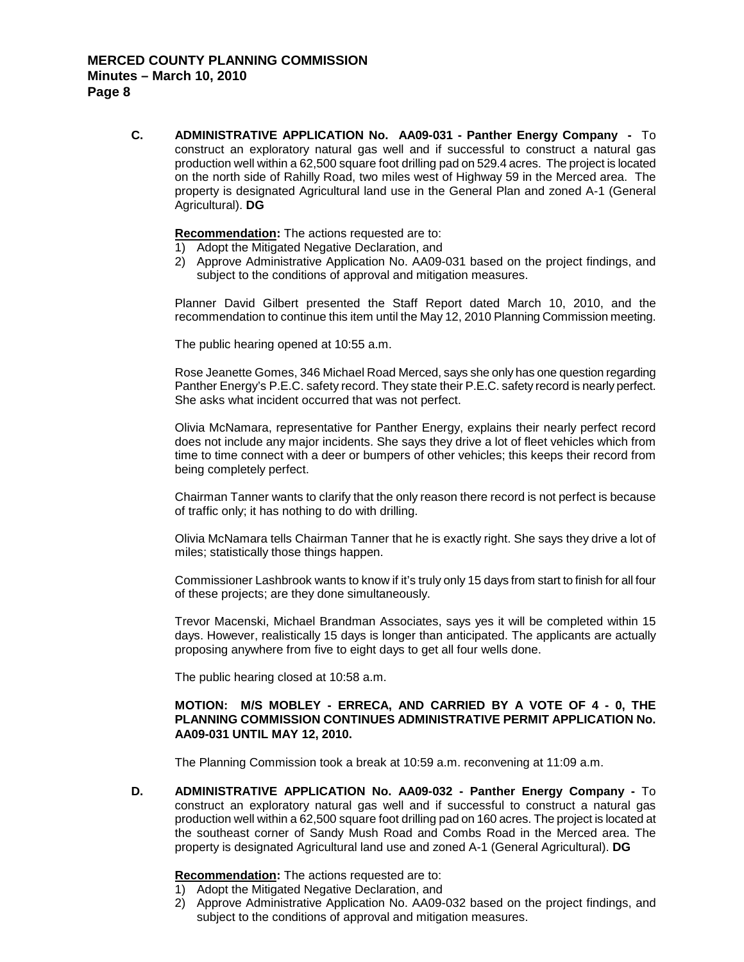**C. ADMINISTRATIVE APPLICATION No. AA09-031 - Panther Energy Company -** To construct an exploratory natural gas well and if successful to construct a natural gas production well within a 62,500 square foot drilling pad on 529.4 acres. The project is located on the north side of Rahilly Road, two miles west of Highway 59 in the Merced area. The property is designated Agricultural land use in the General Plan and zoned A-1 (General Agricultural). **DG**

**Recommendation :** The actions requested are to:

- 1) Adopt the Mitigated Negative Declaration, and
- 2) Approve Administrative Application No. AA09-031 based on the project findings, and subject to the conditions of approval and mitigation measures.

Planner David Gilbert presented the Staff Report dated March 10, 2010, and the recommendation to continue this item until the May 12, 2010 Planning Commission meeting.

The public hearing opened at 10:55 a.m.

Rose Jeanette Gomes, 346 Michael Road Merced, says she only has one question regarding Panther Energy's P.E.C. safety record. They state their P.E.C. safety record is nearly perfect. She asks what incident occurred that was not perfect.

Olivia McNamara, representative for Panther Energy, explains their nearly perfect record does not include any major incidents. She says they drive a lot of fleet vehicles which from time to time connect with a deer or bumpers of other vehicles; this keeps their record from being completely perfect.

Chairman Tanner wants to clarify that the only reason there record is not perfect is because of traffic only; it has nothing to do with drilling.

Olivia McNamara tells Chairman Tanner that he is exactly right. She says they drive a lot of miles; statistically those things happen.

Commissioner Lashbrook wants to know if it's truly only 15 days from start to finish for all four of these projects; are they done simultaneously.

Trevor Macenski, Michael Brandman Associates, says yes it will be completed within 15 days. However, realistically 15 days is longer than anticipated. The applicants are actually proposing anywhere from five to eight days to get all four wells done.

The public hearing closed at 10:58 a.m.

#### **MOTION: M/S MOBLEY - ERRECA, AND CARRIED BY A VOTE OF 4 - 0, THE PLANNING COMMISSION CONTINUES ADMINISTRATIVE PERMIT APPLICATION No. AA09-031 UNTIL MAY 12, 2010.**

The Planning Commission took a break at 10:59 a.m. reconvening at 11:09 a.m.

**D. ADMINISTRATIVE APPLICATION No. AA09-032 - Panther Energy Company -** To construct an exploratory natural gas well and if successful to construct a natural gas production well within a 62,500 square foot drilling pad on 160 acres. The project is located at the southeast corner of Sandy Mush Road and Combs Road in the Merced area. The property is designated Agricultural land use and zoned A-1 (General Agricultural). **DG**

**Recommendation :** The actions requested are to:

- 1) Adopt the Mitigated Negative Declaration, and
- 2) Approve Administrative Application No. AA09-032 based on the project findings, and subject to the conditions of approval and mitigation measures.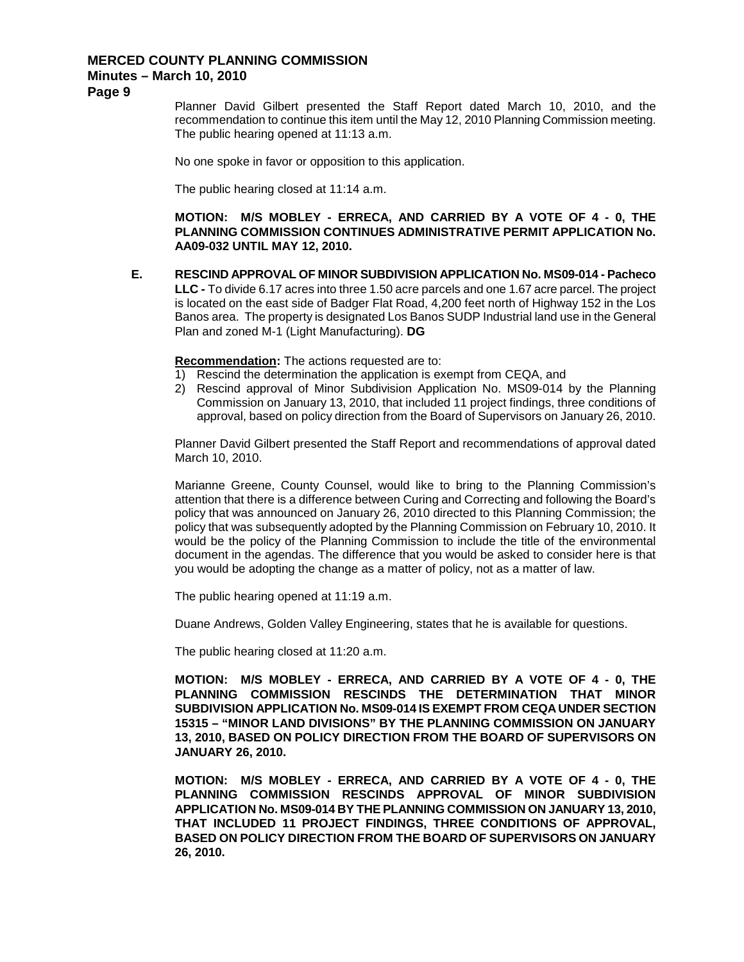**Page 9**

Planner David Gilbert presented the Staff Report dated March 10, 2010, and the recommendation to continue this item until the May 12, 2010 Planning Commission meeting. The public hearing opened at 11:13 a.m.

No one spoke in favor or opposition to this application.

The public hearing closed at 11:14 a.m.

**MOTION: M/S MOBLEY - ERRECA, AND CARRIED BY A VOTE OF 4 - 0, THE PLANNING COMMISSION CONTINUES ADMINISTRATIVE PERMIT APPLICATION No. AA09-032 UNTIL MAY 12, 2010.**

**E. RESCIND APPROVAL OF MINOR SUBDIVISION APPLICATION No. MS09-014 - Pacheco LLC -** To divide 6.17 acres into three 1.50 acre parcels and one 1.67 acre parcel. The project is located on the east side of Badger Flat Road, 4,200 feet north of Highway 152 in the Los Banos area. The property is designated Los Banos SUDP Industrial land use in the General Plan and zoned M-1 (Light Manufacturing). **DG**

**Recommendation :** The actions requested are to:

- 1) Rescind the determination the application is exempt from CEQA, and
- 2) Rescind approval of Minor Subdivision Application No. MS09-014 by the Planning Commission on January 13, 2010, that included 11 project findings, three conditions of approval, based on policy direction from the Board of Supervisors on January 26, 2010.

Planner David Gilbert presented the Staff Report and recommendations of approval dated March 10, 2010.

Marianne Greene, County Counsel, would like to bring to the Planning Commission's attention that there is a difference between Curing and Correcting and following the Board's policy that was announced on January 26, 2010 directed to this Planning Commission; the policy that was subsequently adopted by the Planning Commission on February 10, 2010. It would be the policy of the Planning Commission to include the title of the environmental document in the agendas. The difference that you would be asked to consider here is that you would be adopting the change as a matter of policy, not as a matter of law.

The public hearing opened at 11:19 a.m.

Duane Andrews, Golden Valley Engineering, states that he is available for questions.

The public hearing closed at 11:20 a.m.

**MOTION: M/S MOBLEY - ERRECA, AND CARRIED BY A VOTE OF 4 - 0, THE PLANNING COMMISSION RESCINDS THE DETERMINATION THAT MINOR SUBDIVISION APPLICATION No. MS09-014 IS EXEMPT FROM CEQA UNDER SECTION 15315 – "MINOR LAND DIVISIONS" BY THE PLANNING COMMISSION ON JANUARY 13, 2010, BASED ON POLICY DIRECTION FROM THE BOARD OF SUPERVISORS ON JANUARY 26, 2010.**

**MOTION: M/S MOBLEY - ERRECA, AND CARRIED BY A VOTE OF 4 - 0, THE PLANNING COMMISSION RESCINDS APPROVAL OF MINOR SUBDIVISION APPLICATION No. MS09-014 BY THE PLANNING COMMISSION ON JANUARY 13, 2010, THAT INCLUDED 11 PROJECT FINDINGS, THREE CONDITIONS OF APPROVAL, BASED ON POLICY DIRECTION FROM THE BOARD OF SUPERVISORS ON JANUARY 26, 2010.**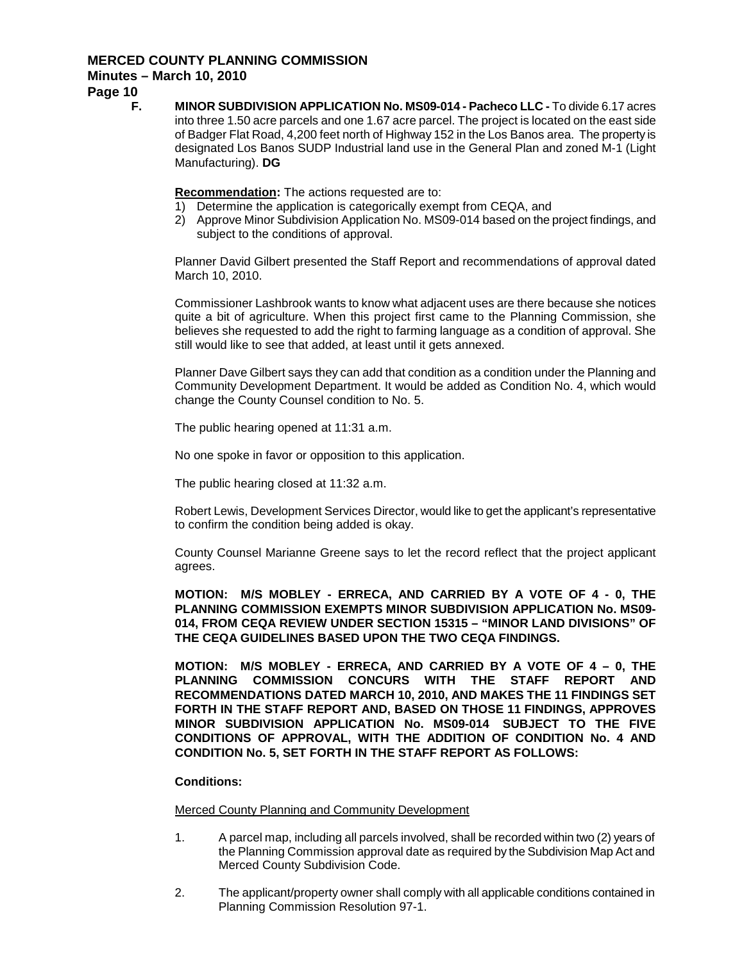## **MERCED COUNTY PLANNING COMMISSION**

## **Minutes – March 10, 2010**

**Page 10**

**F. MINOR SUBDIVISION APPLICATION No. MS09-014 - Pacheco LLC -** To divide 6.17 acres into three 1.50 acre parcels and one 1.67 acre parcel. The project is located on the east side of Badger Flat Road, 4,200 feet north of Highway 152 in the Los Banos area. The property is designated Los Banos SUDP Industrial land use in the General Plan and zoned M-1 (Light Manufacturing). **DG**

**Recommendation :** The actions requested are to:

- 1) Determine the application is categorically exempt from CEQA, and
- 2) Approve Minor Subdivision Application No. MS09-014 based on the project findings, and subject to the conditions of approval.

Planner David Gilbert presented the Staff Report and recommendations of approval dated March 10, 2010.

Commissioner Lashbrook wants to know what adjacent uses are there because she notices quite a bit of agriculture. When this project first came to the Planning Commission, she believes she requested to add the right to farming language as a condition of approval. She still would like to see that added, at least until it gets annexed.

Planner Dave Gilbert says they can add that condition as a condition under the Planning and Community Development Department. It would be added as Condition No. 4, which would change the County Counsel condition to No. 5.

The public hearing opened at 11:31 a.m.

No one spoke in favor or opposition to this application.

The public hearing closed at 11:32 a.m.

Robert Lewis, Development Services Director, would like to get the applicant's representative to confirm the condition being added is okay.

County Counsel Marianne Greene says to let the record reflect that the project applicant agrees.

**MOTION: M/S MOBLEY - ERRECA, AND CARRIED BY A VOTE OF 4 - 0, THE PLANNING COMMISSION EXEMPTS MINOR SUBDIVISION APPLICATION No. MS09- 014, FROM CEQA REVIEW UNDER SECTION 15315 – "MINOR LAND DIVISIONS" OF THE CEQA GUIDELINES BASED UPON THE TWO CEQA FINDINGS.**

**MOTION: M/S MOBLEY - ERRECA, AND CARRIED BY A VOTE OF 4 – 0, THE PLANNING COMMISSION CONCURS WITH THE STAFF REPORT AND RECOMMENDATIONS DATED MARCH 10, 2010, AND MAKES THE 11 FINDINGS SET FORTH IN THE STAFF REPORT AND, BASED ON THOSE 11 FINDINGS, APPROVES MINOR SUBDIVISION APPLICATION No. MS09-014 SUBJECT TO THE FIVE CONDITIONS OF APPROVAL, WITH THE ADDITION OF CONDITION No. 4 AND CONDITION No. 5, SET FORTH IN THE STAFF REPORT AS FOLLOWS:**

#### **Conditions:**

Merced County Planning and Community Development

- 1. A parcel map, including all parcels involved, shall be recorded within two (2) years of the Planning Commission approval date as required by the Subdivision Map Act and Merced County Subdivision Code.
- 2. The applicant/property owner shall comply with all applicable conditions contained in Planning Commission Resolution 97-1.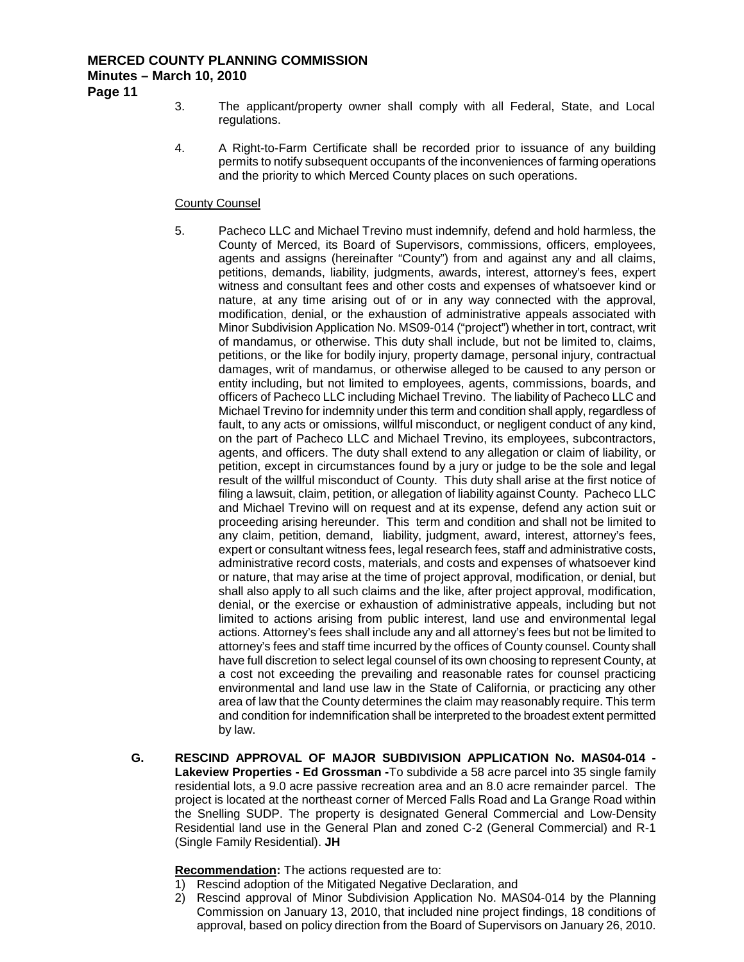**Page 11**

- 3. The applicant/property owner shall comply with all Federal, State, and Local regulations.
- 4. A Right-to-Farm Certificate shall be recorded prior to issuance of any building permits to notify subsequent occupants of the inconveniences of farming operations and the priority to which Merced County places on such operations.

#### County Counsel

- 5. Pacheco LLC and Michael Trevino must indemnify, defend and hold harmless, the County of Merced, its Board of Supervisors, commissions, officers, employees, agents and assigns (hereinafter "County") from and against any and all claims, petitions, demands, liability, judgments, awards, interest, attorney's fees, expert witness and consultant fees and other costs and expenses of whatsoever kind or nature, at any time arising out of or in any way connected with the approval, modification, denial, or the exhaustion of administrative appeals associated with Minor Subdivision Application No. MS09-014 ("project") whether in tort, contract, writ of mandamus, or otherwise. This duty shall include, but not be limited to, claims, petitions, or the like for bodily injury, property damage, personal injury, contractual damages, writ of mandamus, or otherwise alleged to be caused to any person or entity including, but not limited to employees, agents, commissions, boards, and officers of Pacheco LLC including Michael Trevino. The liability of Pacheco LLC and Michael Trevino for indemnity under this term and condition shall apply, regardless of fault, to any acts or omissions, willful misconduct, or negligent conduct of any kind, on the part of Pacheco LLC and Michael Trevino, its employees, subcontractors, agents, and officers. The duty shall extend to any allegation or claim of liability, or petition, except in circumstances found by a jury or judge to be the sole and legal result of the willful misconduct of County. This duty shall arise at the first notice of filing a lawsuit, claim, petition, or allegation of liability against County. Pacheco LLC and Michael Trevino will on request and at its expense, defend any action suit or proceeding arising hereunder. This term and condition and shall not be limited to any claim, petition, demand, liability, judgment, award, interest, attorney's fees, expert or consultant witness fees, legal research fees, staff and administrative costs, administrative record costs, materials, and costs and expenses of whatsoever kind or nature, that may arise at the time of project approval, modification, or denial, but shall also apply to all such claims and the like, after project approval, modification, denial, or the exercise or exhaustion of administrative appeals, including but not limited to actions arising from public interest, land use and environmental legal actions. Attorney's fees shall include any and all attorney's fees but not be limited to attorney's fees and staff time incurred by the offices of County counsel. County shall have full discretion to select legal counsel of its own choosing to represent County, at a cost not exceeding the prevailing and reasonable rates for counsel practicing environmental and land use law in the State of California, or practicing any other area of law that the County determines the claim may reasonably require. This term and condition for indemnification shall be interpreted to the broadest extent permitted by law.
- **G. RESCIND APPROVAL OF MAJOR SUBDIVISION APPLICATION No. MAS04-014 - Lakeview Properties - Ed Grossman -**To subdivide a 58 acre parcel into 35 single family residential lots, a 9.0 acre passive recreation area and an 8.0 acre remainder parcel. The project is located at the northeast corner of Merced Falls Road and La Grange Road within the Snelling SUDP. The property is designated General Commercial and Low-Density Residential land use in the General Plan and zoned C-2 (General Commercial) and R-1 (Single Family Residential). **JH**

**Recommendation :** The actions requested are to:

- 1) Rescind adoption of the Mitigated Negative Declaration, and
- 2) Rescind approval of Minor Subdivision Application No. MAS04-014 by the Planning Commission on January 13, 2010, that included nine project findings, 18 conditions of approval, based on policy direction from the Board of Supervisors on January 26, 2010.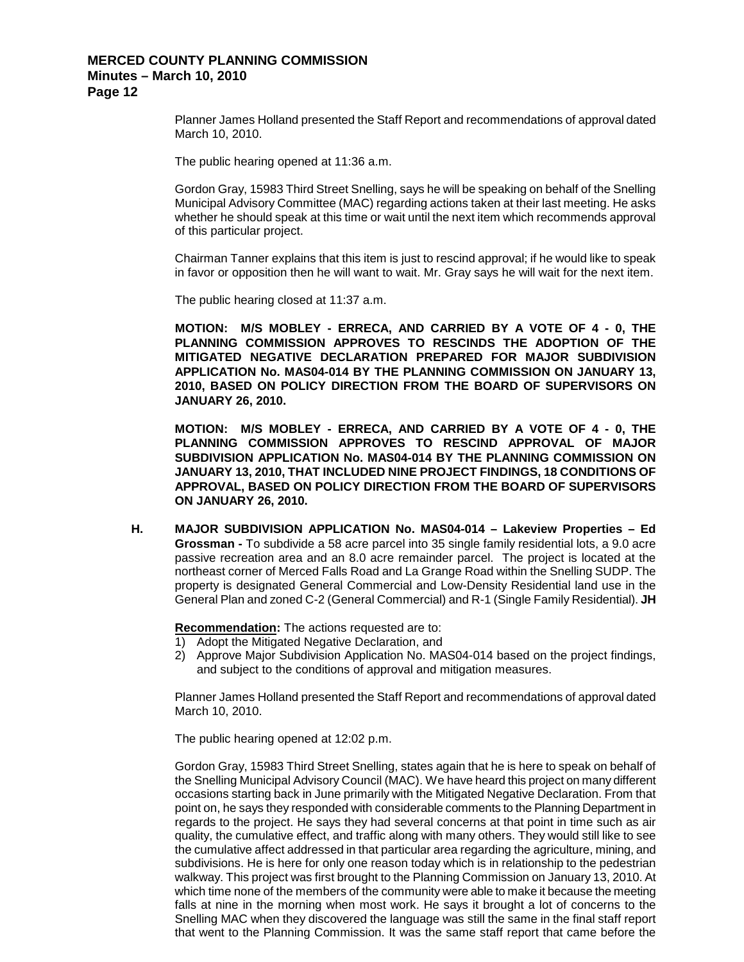Planner James Holland presented the Staff Report and recommendations of approval dated March 10, 2010.

The public hearing opened at 11:36 a.m.

Gordon Gray, 15983 Third Street Snelling, says he will be speaking on behalf of the Snelling Municipal Advisory Committee (MAC) regarding actions taken at their last meeting. He asks whether he should speak at this time or wait until the next item which recommends approval of this particular project.

Chairman Tanner explains that this item is just to rescind approval; if he would like to speak in favor or opposition then he will want to wait. Mr. Gray says he will wait for the next item.

The public hearing closed at 11:37 a.m.

**MOTION: M/S MOBLEY - ERRECA, AND CARRIED BY A VOTE OF 4 - 0, THE PLANNING COMMISSION APPROVES TO RESCINDS THE ADOPTION OF THE MITIGATED NEGATIVE DECLARATION PREPARED FOR MAJOR SUBDIVISION APPLICATION No. MAS04-014 BY THE PLANNING COMMISSION ON JANUARY 13, 2010, BASED ON POLICY DIRECTION FROM THE BOARD OF SUPERVISORS ON JANUARY 26, 2010.**

**MOTION: M/S MOBLEY - ERRECA, AND CARRIED BY A VOTE OF 4 - 0, THE PLANNING COMMISSION APPROVES TO RESCIND APPROVAL OF MAJOR SUBDIVISION APPLICATION No. MAS04-014 BY THE PLANNING COMMISSION ON JANUARY 13, 2010, THAT INCLUDED NINE PROJECT FINDINGS, 18 CONDITIONS OF APPROVAL, BASED ON POLICY DIRECTION FROM THE BOARD OF SUPERVISORS ON JANUARY 26, 2010.**

**H. MAJOR SUBDIVISION APPLICATION No. MAS04-014 – Lakeview Properties – Ed Grossman -** To subdivide a 58 acre parcel into 35 single family residential lots, a 9.0 acre passive recreation area and an 8.0 acre remainder parcel. The project is located at the northeast corner of Merced Falls Road and La Grange Road within the Snelling SUDP. The property is designated General Commercial and Low-Density Residential land use in the General Plan and zoned C-2 (General Commercial) and R-1 (Single Family Residential). **JH**

**Recommendation :** The actions requested are to:

- 1) Adopt the Mitigated Negative Declaration, and
- 2) Approve Major Subdivision Application No. MAS04-014 based on the project findings, and subject to the conditions of approval and mitigation measures.

Planner James Holland presented the Staff Report and recommendations of approval dated March 10, 2010.

The public hearing opened at 12:02 p.m.

Gordon Gray, 15983 Third Street Snelling, states again that he is here to speak on behalf of the Snelling Municipal Advisory Council (MAC). We have heard this project on many different occasions starting back in June primarily with the Mitigated Negative Declaration. From that point on, he says they responded with considerable comments to the Planning Department in regards to the project. He says they had several concerns at that point in time such as air quality, the cumulative effect, and traffic along with many others. They would still like to see the cumulative affect addressed in that particular area regarding the agriculture, mining, and subdivisions. He is here for only one reason today which is in relationship to the pedestrian walkway. This project was first brought to the Planning Commission on January 13, 2010. At which time none of the members of the community were able to make it because the meeting falls at nine in the morning when most work. He says it brought a lot of concerns to the Snelling MAC when they discovered the language was still the same in the final staff report that went to the Planning Commission. It was the same staff report that came before the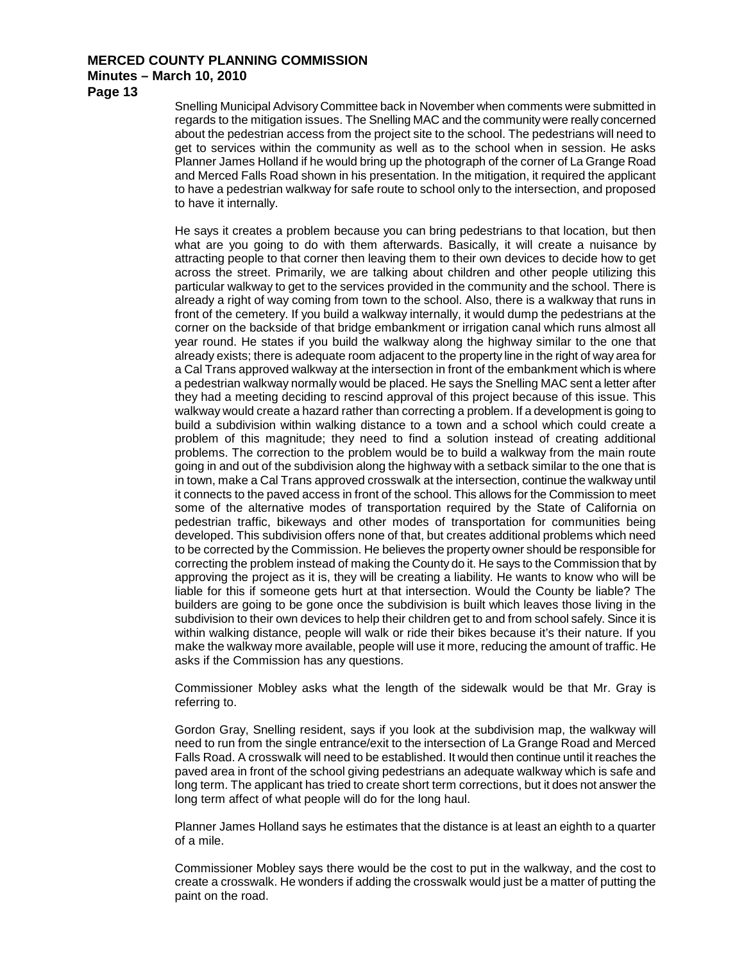**Page 13**

Snelling Municipal Advisory Committee back in November when comments were submitted in regards to the mitigation issues. The Snelling MAC and the community were really concerned about the pedestrian access from the project site to the school. The pedestrians will need to get to services within the community as well as to the school when in session. He asks Planner James Holland if he would bring up the photograph of the corner of La Grange Road and Merced Falls Road shown in his presentation. In the mitigation, it required the applicant to have a pedestrian walkway for safe route to school only to the intersection, and proposed to have it internally.

He says it creates a problem because you can bring pedestrians to that location, but then what are you going to do with them afterwards. Basically, it will create a nuisance by attracting people to that corner then leaving them to their own devices to decide how to get across the street. Primarily, we are talking about children and other people utilizing this particular walkway to get to the services provided in the community and the school. There is already a right of way coming from town to the school. Also, there is a walkway that runs in front of the cemetery. If you build a walkway internally, it would dump the pedestrians at the corner on the backside of that bridge embankment or irrigation canal which runs almost all year round. He states if you build the walkway along the highway similar to the one that already exists; there is adequate room adjacent to the property line in the right of way area for a Cal Trans approved walkway at the intersection in front of the embankment which is where a pedestrian walkway normally would be placed. He says the Snelling MAC sent a letter after they had a meeting deciding to rescind approval of this project because of this issue. This walkway would create a hazard rather than correcting a problem. If a development is going to build a subdivision within walking distance to a town and a school which could create a problem of this magnitude; they need to find a solution instead of creating additional problems. The correction to the problem would be to build a walkway from the main route going in and out of the subdivision along the highway with a setback similar to the one that is in town, make a Cal Trans approved crosswalk at the intersection, continue the walkway until it connects to the paved access in front of the school. This allows for the Commission to meet some of the alternative modes of transportation required by the State of California on pedestrian traffic, bikeways and other modes of transportation for communities being developed. This subdivision offers none of that, but creates additional problems which need to be corrected by the Commission. He believes the property owner should be responsible for correcting the problem instead of making the County do it. He says to the Commission that by approving the project as it is, they will be creating a liability. He wants to know who will be liable for this if someone gets hurt at that intersection. Would the County be liable? The builders are going to be gone once the subdivision is built which leaves those living in the subdivision to their own devices to help their children get to and from school safely. Since it is within walking distance, people will walk or ride their bikes because it's their nature. If you make the walkway more available, people will use it more, reducing the amount of traffic. He asks if the Commission has any questions.

Commissioner Mobley asks what the length of the sidewalk would be that Mr. Gray is referring to.

Gordon Gray, Snelling resident, says if you look at the subdivision map, the walkway will need to run from the single entrance/exit to the intersection of La Grange Road and Merced Falls Road. A crosswalk will need to be established. It would then continue until it reaches the paved area in front of the school giving pedestrians an adequate walkway which is safe and long term. The applicant has tried to create short term corrections, but it does not answer the long term affect of what people will do for the long haul.

Planner James Holland says he estimates that the distance is at least an eighth to a quarter of a mile.

Commissioner Mobley says there would be the cost to put in the walkway, and the cost to create a crosswalk. He wonders if adding the crosswalk would just be a matter of putting the paint on the road.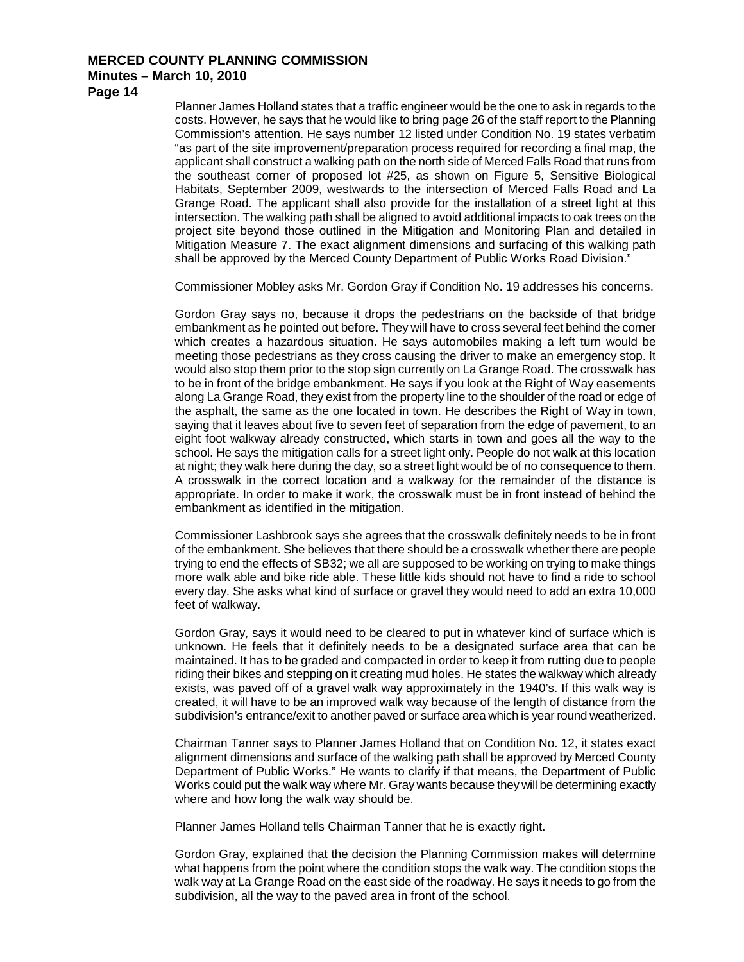**Page 14**

Planner James Holland states that a traffic engineer would be the one to ask in regards to the costs. However, he says that he would like to bring page 26 of the staff report to the Planning Commission's attention. He says number 12 listed under Condition No. 19 states verbatim "as part of the site improvement/preparation process required for recording a final map, the applicant shall construct a walking path on the north side of Merced Falls Road that runs from the southeast corner of proposed lot #25, as shown on Figure 5, Sensitive Biological Habitats, September 2009, westwards to the intersection of Merced Falls Road and La Grange Road. The applicant shall also provide for the installation of a street light at this intersection. The walking path shall be aligned to avoid additional impacts to oak trees on the project site beyond those outlined in the Mitigation and Monitoring Plan and detailed in Mitigation Measure 7. The exact alignment dimensions and surfacing of this walking path shall be approved by the Merced County Department of Public Works Road Division."

Commissioner Mobley asks Mr. Gordon Gray if Condition No. 19 addresses his concerns.

Gordon Gray says no, because it drops the pedestrians on the backside of that bridge embankment as he pointed out before. They will have to cross several feet behind the corner which creates a hazardous situation. He says automobiles making a left turn would be meeting those pedestrians as they cross causing the driver to make an emergency stop. It would also stop them prior to the stop sign currently on La Grange Road. The crosswalk has to be in front of the bridge embankment. He says if you look at the Right of Way easements along La Grange Road, they exist from the property line to the shoulder of the road or edge of the asphalt, the same as the one located in town. He describes the Right of Way in town, saying that it leaves about five to seven feet of separation from the edge of pavement, to an eight foot walkway already constructed, which starts in town and goes all the way to the school. He says the mitigation calls for a street light only. People do not walk at this location at night; they walk here during the day, so a street light would be of no consequence to them. A crosswalk in the correct location and a walkway for the remainder of the distance is appropriate. In order to make it work, the crosswalk must be in front instead of behind the embankment as identified in the mitigation.

Commissioner Lashbrook says she agrees that the crosswalk definitely needs to be in front of the embankment. She believes that there should be a crosswalk whether there are people trying to end the effects of SB32; we all are supposed to be working on trying to make things more walk able and bike ride able. These little kids should not have to find a ride to school every day. She asks what kind of surface or gravel they would need to add an extra 10,000 feet of walkway.

Gordon Gray, says it would need to be cleared to put in whatever kind of surface which is unknown. He feels that it definitely needs to be a designated surface area that can be maintained. It has to be graded and compacted in order to keep it from rutting due to people riding their bikes and stepping on it creating mud holes. He states the walkway which already exists, was paved off of a gravel walk way approximately in the 1940's. If this walk way is created, it will have to be an improved walk way because of the length of distance from the subdivision's entrance/exit to another paved or surface area which is year round weatherized.

Chairman Tanner says to Planner James Holland that on Condition No. 12, it states exact alignment dimensions and surface of the walking path shall be approved by Merced County Department of Public Works." He wants to clarify if that means, the Department of Public Works could put the walk way where Mr. Gray wants because they will be determining exactly where and how long the walk way should be.

Planner James Holland tells Chairman Tanner that he is exactly right.

Gordon Gray, explained that the decision the Planning Commission makes will determine what happens from the point where the condition stops the walk way. The condition stops the walk way at La Grange Road on the east side of the roadway. He says it needs to go from the subdivision, all the way to the paved area in front of the school.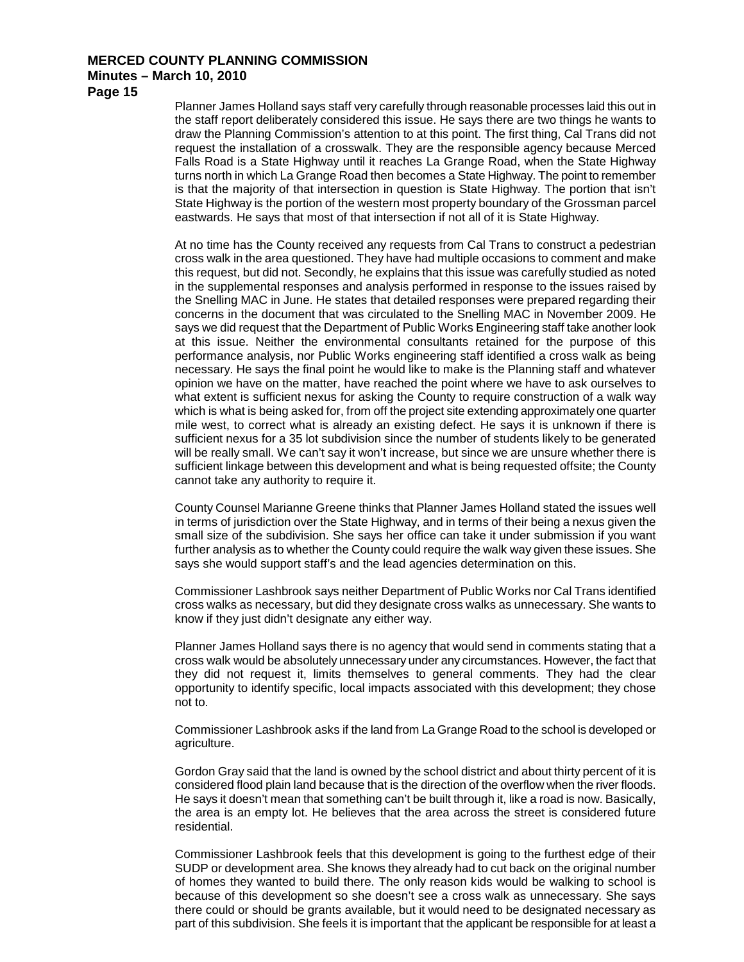**Page 15**

Planner James Holland says staff very carefully through reasonable processes laid this out in the staff report deliberately considered this issue. He says there are two things he wants to draw the Planning Commission's attention to at this point. The first thing, Cal Trans did not request the installation of a crosswalk. They are the responsible agency because Merced Falls Road is a State Highway until it reaches La Grange Road, when the State Highway turns north in which La Grange Road then becomes a State Highway. The point to remember is that the majority of that intersection in question is State Highway. The portion that isn't State Highway is the portion of the western most property boundary of the Grossman parcel eastwards. He says that most of that intersection if not all of it is State Highway.

At no time has the County received any requests from Cal Trans to construct a pedestrian cross walk in the area questioned. They have had multiple occasions to comment and make this request, but did not. Secondly, he explains that this issue was carefully studied as noted in the supplemental responses and analysis performed in response to the issues raised by the Snelling MAC in June. He states that detailed responses were prepared regarding their concerns in the document that was circulated to the Snelling MAC in November 2009. He says we did request that the Department of Public Works Engineering staff take another look at this issue. Neither the environmental consultants retained for the purpose of this performance analysis, nor Public Works engineering staff identified a cross walk as being necessary. He says the final point he would like to make is the Planning staff and whatever opinion we have on the matter, have reached the point where we have to ask ourselves to what extent is sufficient nexus for asking the County to require construction of a walk way which is what is being asked for, from off the project site extending approximately one quarter mile west, to correct what is already an existing defect. He says it is unknown if there is sufficient nexus for a 35 lot subdivision since the number of students likely to be generated will be really small. We can't say it won't increase, but since we are unsure whether there is sufficient linkage between this development and what is being requested offsite; the County cannot take any authority to require it.

County Counsel Marianne Greene thinks that Planner James Holland stated the issues well in terms of jurisdiction over the State Highway, and in terms of their being a nexus given the small size of the subdivision. She says her office can take it under submission if you want further analysis as to whether the County could require the walk way given these issues. She says she would support staff's and the lead agencies determination on this.

Commissioner Lashbrook says neither Department of Public Works nor Cal Trans identified cross walks as necessary, but did they designate cross walks as unnecessary. She wants to know if they just didn't designate any either way.

Planner James Holland says there is no agency that would send in comments stating that a cross walk would be absolutely unnecessary under any circumstances. However, the fact that they did not request it, limits themselves to general comments. They had the clear opportunity to identify specific, local impacts associated with this development; they chose not to.

Commissioner Lashbrook asks if the land from La Grange Road to the school is developed or agriculture.

Gordon Gray said that the land is owned by the school district and about thirty percent of it is considered flood plain land because that is the direction of the overflow when the river floods. He says it doesn't mean that something can't be built through it, like a road is now. Basically, the area is an empty lot. He believes that the area across the street is considered future residential.

Commissioner Lashbrook feels that this development is going to the furthest edge of their SUDP or development area. She knows they already had to cut back on the original number of homes they wanted to build there. The only reason kids would be walking to school is because of this development so she doesn't see a cross walk as unnecessary. She says there could or should be grants available, but it would need to be designated necessary as part of this subdivision. She feels it is important that the applicant be responsible for at least a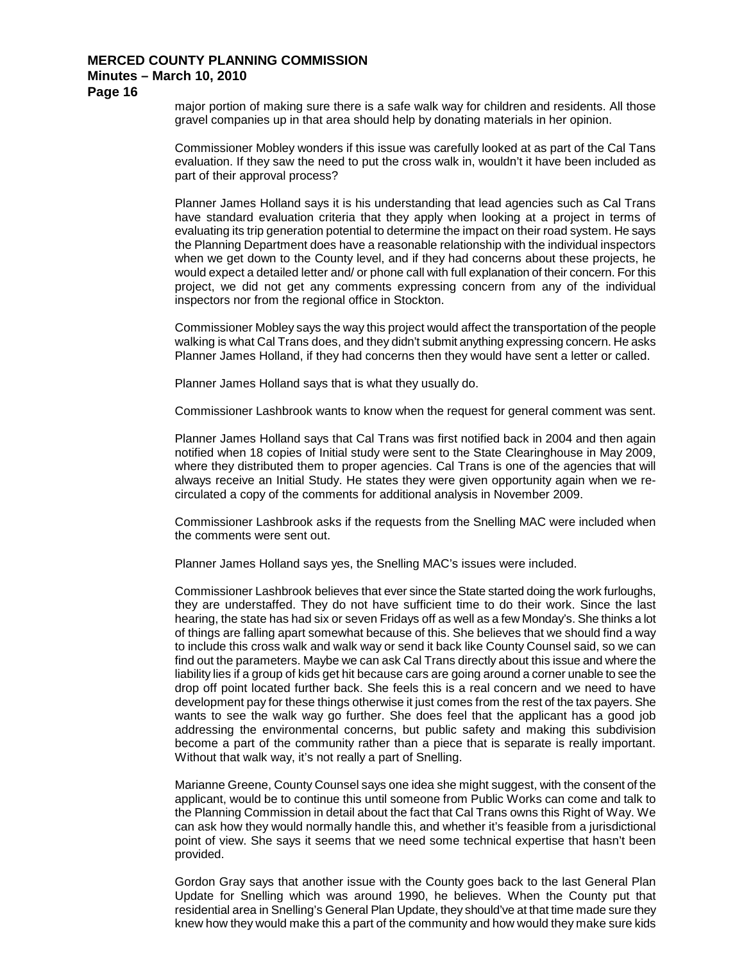**Page 16**

major portion of making sure there is a safe walk way for children and residents. All those gravel companies up in that area should help by donating materials in her opinion.

Commissioner Mobley wonders if this issue was carefully looked at as part of the Cal Tans evaluation. If they saw the need to put the cross walk in, wouldn't it have been included as part of their approval process?

Planner James Holland says it is his understanding that lead agencies such as Cal Trans have standard evaluation criteria that they apply when looking at a project in terms of evaluating its trip generation potential to determine the impact on their road system. He says the Planning Department does have a reasonable relationship with the individual inspectors when we get down to the County level, and if they had concerns about these projects, he would expect a detailed letter and/ or phone call with full explanation of their concern. For this project, we did not get any comments expressing concern from any of the individual inspectors nor from the regional office in Stockton.

Commissioner Mobley says the way this project would affect the transportation of the people walking is what Cal Trans does, and they didn't submit anything expressing concern. He asks Planner James Holland, if they had concerns then they would have sent a letter or called.

Planner James Holland says that is what they usually do.

Commissioner Lashbrook wants to know when the request for general comment was sent.

Planner James Holland says that Cal Trans was first notified back in 2004 and then again notified when 18 copies of Initial study were sent to the State Clearinghouse in May 2009, where they distributed them to proper agencies. Cal Trans is one of the agencies that will always receive an Initial Study. He states they were given opportunity again when we recirculated a copy of the comments for additional analysis in November 2009.

Commissioner Lashbrook asks if the requests from the Snelling MAC were included when the comments were sent out.

Planner James Holland says yes, the Snelling MAC's issues were included.

Commissioner Lashbrook believes that ever since the State started doing the work furloughs, they are understaffed. They do not have sufficient time to do their work. Since the last hearing, the state has had six or seven Fridays off as well as a few Monday's. She thinks a lot of things are falling apart somewhat because of this. She believes that we should find a way to include this cross walk and walk way or send it back like County Counsel said, so we can find out the parameters. Maybe we can ask Cal Trans directly about this issue and where the liability lies if a group of kids get hit because cars are going around a corner unable to see the drop off point located further back. She feels this is a real concern and we need to have development pay for these things otherwise it just comes from the rest of the tax payers. She wants to see the walk way go further. She does feel that the applicant has a good job addressing the environmental concerns, but public safety and making this subdivision become a part of the community rather than a piece that is separate is really important. Without that walk way, it's not really a part of Snelling.

Marianne Greene, County Counsel says one idea she might suggest, with the consent of the applicant, would be to continue this until someone from Public Works can come and talk to the Planning Commission in detail about the fact that Cal Trans owns this Right of Way. We can ask how they would normally handle this, and whether it's feasible from a jurisdictional point of view. She says it seems that we need some technical expertise that hasn't been provided.

Gordon Gray says that another issue with the County goes back to the last General Plan Update for Snelling which was around 1990, he believes. When the County put that residential area in Snelling's General Plan Update, they should've at that time made sure they knew how they would make this a part of the community and how would they make sure kids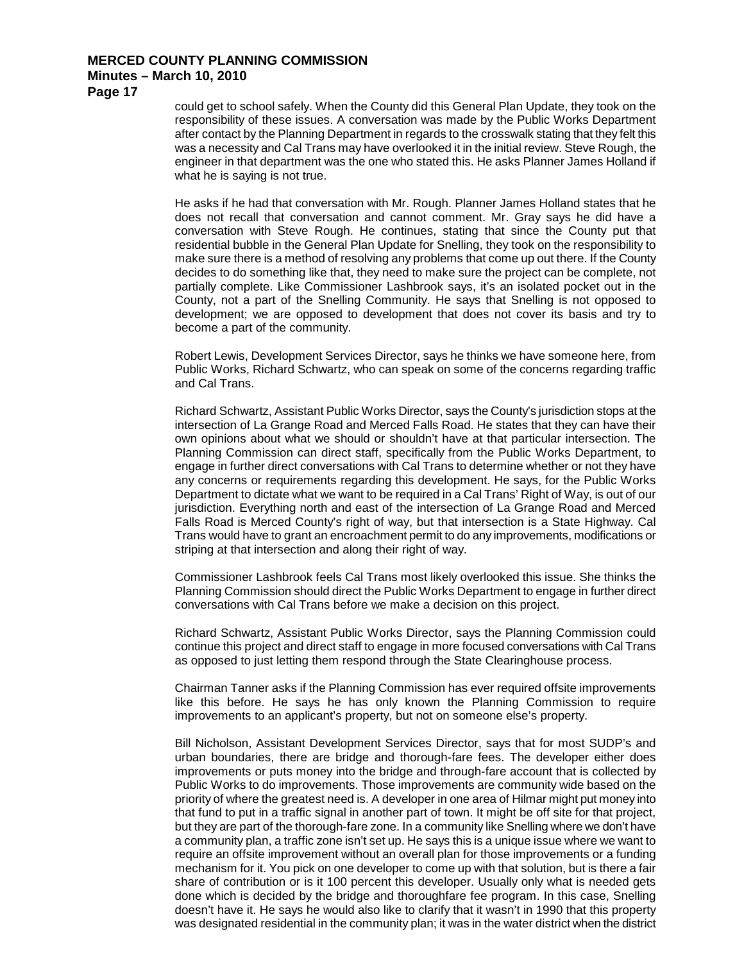**Page 17**

could get to school safely. When the County did this General Plan Update, they took on the responsibility of these issues. A conversation was made by the Public Works Department after contact by the Planning Department in regards to the crosswalk stating that they felt this was a necessity and Cal Trans may have overlooked it in the initial review. Steve Rough, the engineer in that department was the one who stated this. He asks Planner James Holland if what he is saying is not true.

He asks if he had that conversation with Mr. Rough. Planner James Holland states that he does not recall that conversation and cannot comment. Mr. Gray says he did have a conversation with Steve Rough. He continues, stating that since the County put that residential bubble in the General Plan Update for Snelling, they took on the responsibility to make sure there is a method of resolving any problems that come up out there. If the County decides to do something like that, they need to make sure the project can be complete, not partially complete. Like Commissioner Lashbrook says, it's an isolated pocket out in the County, not a part of the Snelling Community. He says that Snelling is not opposed to development; we are opposed to development that does not cover its basis and try to become a part of the community.

Robert Lewis, Development Services Director, says he thinks we have someone here, from Public Works, Richard Schwartz, who can speak on some of the concerns regarding traffic and Cal Trans.

Richard Schwartz, Assistant Public Works Director, says the County's jurisdiction stops at the intersection of La Grange Road and Merced Falls Road. He states that they can have their own opinions about what we should or shouldn't have at that particular intersection. The Planning Commission can direct staff, specifically from the Public Works Department, to engage in further direct conversations with Cal Trans to determine whether or not they have any concerns or requirements regarding this development. He says, for the Public Works Department to dictate what we want to be required in a Cal Trans' Right of Way, is out of our jurisdiction. Everything north and east of the intersection of La Grange Road and Merced Falls Road is Merced County's right of way, but that intersection is a State Highway. Cal Trans would have to grant an encroachment permit to do any improvements, modifications or striping at that intersection and along their right of way.

Commissioner Lashbrook feels Cal Trans most likely overlooked this issue. She thinks the Planning Commission should direct the Public Works Department to engage in further direct conversations with Cal Trans before we make a decision on this project.

Richard Schwartz, Assistant Public Works Director, says the Planning Commission could continue this project and direct staff to engage in more focused conversations with Cal Trans as opposed to just letting them respond through the State Clearinghouse process.

Chairman Tanner asks if the Planning Commission has ever required offsite improvements like this before. He says he has only known the Planning Commission to require improvements to an applicant's property, but not on someone else's property.

Bill Nicholson, Assistant Development Services Director, says that for most SUDP's and urban boundaries, there are bridge and thorough-fare fees. The developer either does improvements or puts money into the bridge and through-fare account that is collected by Public Works to do improvements. Those improvements are community wide based on the priority of where the greatest need is. A developer in one area of Hilmar might put money into that fund to put in a traffic signal in another part of town. It might be off site for that project, but they are part of the thorough-fare zone. In a community like Snelling where we don't have a community plan, a traffic zone isn't set up. He says this is a unique issue where we want to require an offsite improvement without an overall plan for those improvements or a funding mechanism for it. You pick on one developer to come up with that solution, but is there a fair share of contribution or is it 100 percent this developer. Usually only what is needed gets done which is decided by the bridge and thoroughfare fee program. In this case, Snelling doesn't have it. He says he would also like to clarify that it wasn't in 1990 that this property was designated residential in the community plan; it was in the water district when the district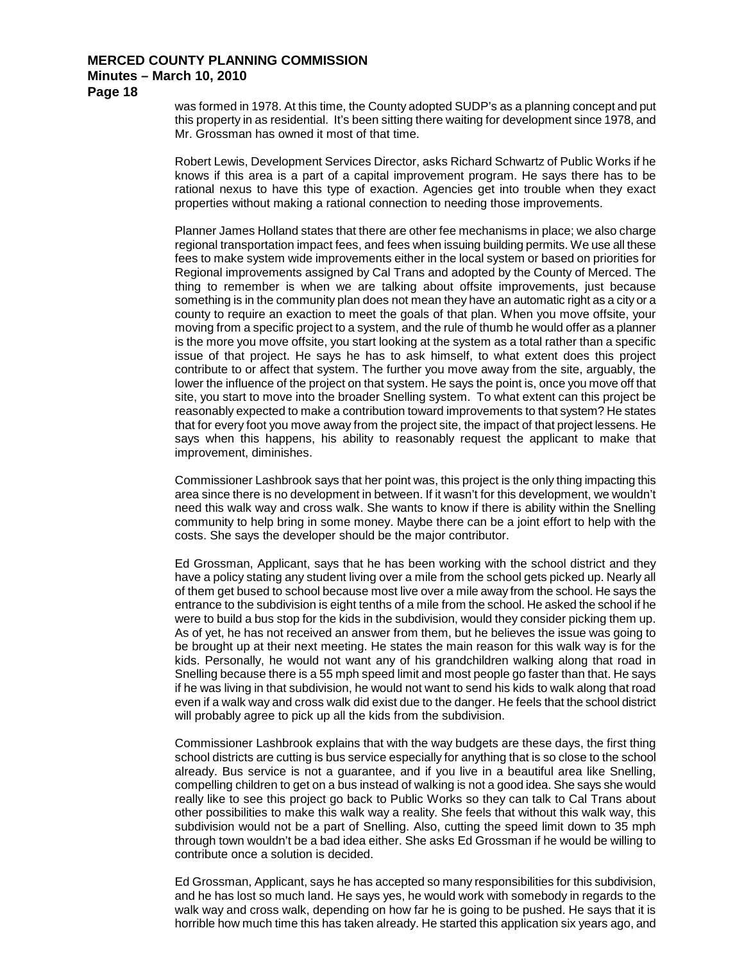**Page 18**

was formed in 1978. At this time, the County adopted SUDP's as a planning concept and put this property in as residential. It's been sitting there waiting for development since 1978, and Mr. Grossman has owned it most of that time.

Robert Lewis, Development Services Director, asks Richard Schwartz of Public Works if he knows if this area is a part of a capital improvement program. He says there has to be rational nexus to have this type of exaction. Agencies get into trouble when they exact properties without making a rational connection to needing those improvements.

Planner James Holland states that there are other fee mechanisms in place; we also charge regional transportation impact fees, and fees when issuing building permits. We use all these fees to make system wide improvements either in the local system or based on priorities for Regional improvements assigned by Cal Trans and adopted by the County of Merced. The thing to remember is when we are talking about offsite improvements, just because something is in the community plan does not mean they have an automatic right as a city or a county to require an exaction to meet the goals of that plan. When you move offsite, your moving from a specific project to a system, and the rule of thumb he would offer as a planner is the more you move offsite, you start looking at the system as a total rather than a specific issue of that project. He says he has to ask himself, to what extent does this project contribute to or affect that system. The further you move away from the site, arguably, the lower the influence of the project on that system. He says the point is, once you move off that site, you start to move into the broader Snelling system. To what extent can this project be reasonably expected to make a contribution toward improvements to that system? He states that for every foot you move away from the project site, the impact of that project lessens. He says when this happens, his ability to reasonably request the applicant to make that improvement, diminishes.

Commissioner Lashbrook says that her point was, this project is the only thing impacting this area since there is no development in between. If it wasn't for this development, we wouldn't need this walk way and cross walk. She wants to know if there is ability within the Snelling community to help bring in some money. Maybe there can be a joint effort to help with the costs. She says the developer should be the major contributor.

Ed Grossman, Applicant, says that he has been working with the school district and they have a policy stating any student living over a mile from the school gets picked up. Nearly all of them get bused to school because most live over a mile away from the school. He says the entrance to the subdivision is eight tenths of a mile from the school. He asked the school if he were to build a bus stop for the kids in the subdivision, would they consider picking them up. As of yet, he has not received an answer from them, but he believes the issue was going to be brought up at their next meeting. He states the main reason for this walk way is for the kids. Personally, he would not want any of his grandchildren walking along that road in Snelling because there is a 55 mph speed limit and most people go faster than that. He says if he was living in that subdivision, he would not want to send his kids to walk along that road even if a walk way and cross walk did exist due to the danger. He feels that the school district will probably agree to pick up all the kids from the subdivision.

Commissioner Lashbrook explains that with the way budgets are these days, the first thing school districts are cutting is bus service especially for anything that is so close to the school already. Bus service is not a guarantee, and if you live in a beautiful area like Snelling, compelling children to get on a bus instead of walking is not a good idea. She says she would really like to see this project go back to Public Works so they can talk to Cal Trans about other possibilities to make this walk way a reality. She feels that without this walk way, this subdivision would not be a part of Snelling. Also, cutting the speed limit down to 35 mph through town wouldn't be a bad idea either. She asks Ed Grossman if he would be willing to contribute once a solution is decided.

Ed Grossman, Applicant, says he has accepted so many responsibilities for this subdivision, and he has lost so much land. He says yes, he would work with somebody in regards to the walk way and cross walk, depending on how far he is going to be pushed. He says that it is horrible how much time this has taken already. He started this application six years ago, and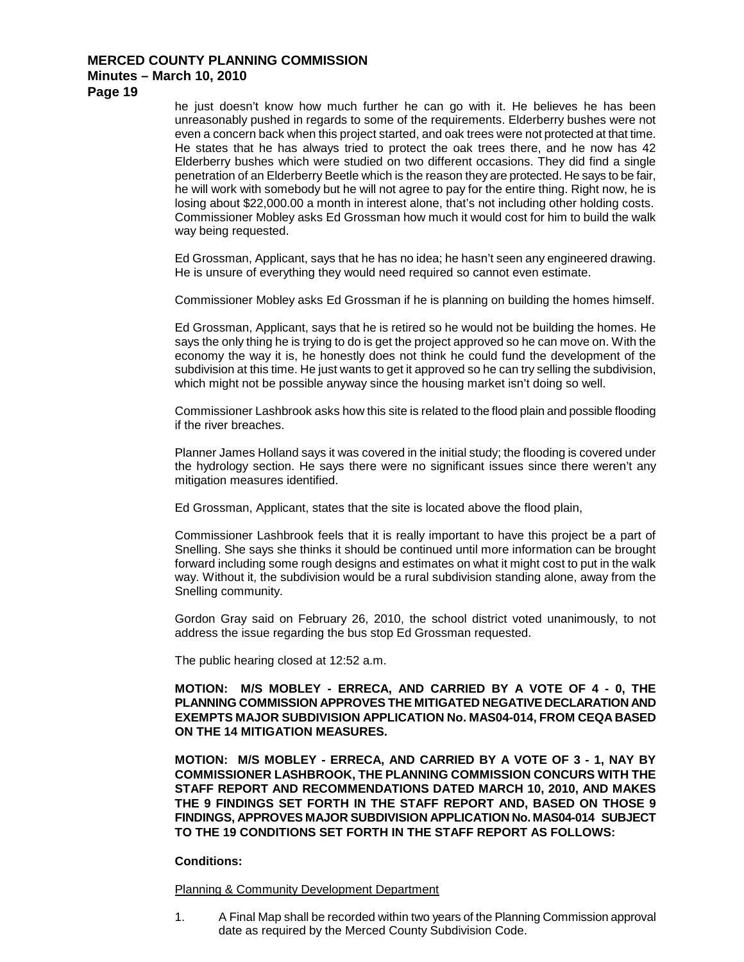**Page 19**

he just doesn't know how much further he can go with it. He believes he has been unreasonably pushed in regards to some of the requirements. Elderberry bushes were not even a concern back when this project started, and oak trees were not protected at that time. He states that he has always tried to protect the oak trees there, and he now has 42 Elderberry bushes which were studied on two different occasions. They did find a single penetration of an Elderberry Beetle which is the reason they are protected. He says to be fair, he will work with somebody but he will not agree to pay for the entire thing. Right now, he is losing about \$22,000.00 a month in interest alone, that's not including other holding costs. Commissioner Mobley asks Ed Grossman how much it would cost for him to build the walk way being requested.

Ed Grossman, Applicant, says that he has no idea; he hasn't seen any engineered drawing. He is unsure of everything they would need required so cannot even estimate.

Commissioner Mobley asks Ed Grossman if he is planning on building the homes himself.

Ed Grossman, Applicant, says that he is retired so he would not be building the homes. He says the only thing he is trying to do is get the project approved so he can move on. With the economy the way it is, he honestly does not think he could fund the development of the subdivision at this time. He just wants to get it approved so he can try selling the subdivision, which might not be possible anyway since the housing market isn't doing so well.

Commissioner Lashbrook asks how this site is related to the flood plain and possible flooding if the river breaches.

Planner James Holland says it was covered in the initial study; the flooding is covered under the hydrology section. He says there were no significant issues since there weren't any mitigation measures identified.

Ed Grossman, Applicant, states that the site is located above the flood plain,

Commissioner Lashbrook feels that it is really important to have this project be a part of Snelling. She says she thinks it should be continued until more information can be brought forward including some rough designs and estimates on what it might cost to put in the walk way. Without it, the subdivision would be a rural subdivision standing alone, away from the Snelling community.

Gordon Gray said on February 26, 2010, the school district voted unanimously, to not address the issue regarding the bus stop Ed Grossman requested.

The public hearing closed at 12:52 a.m.

**MOTION: M/S MOBLEY - ERRECA, AND CARRIED BY A VOTE OF 4 - 0, THE PLANNING COMMISSION APPROVES THE MITIGATED NEGATIVE DECLARATION AND EXEMPTS MAJOR SUBDIVISION APPLICATION No. MAS04-014, FROM CEQA BASED ON THE 14 MITIGATION MEASURES.**

**MOTION: M/S MOBLEY - ERRECA, AND CARRIED BY A VOTE OF 3 - 1, NAY BY COMMISSIONER LASHBROOK, THE PLANNING COMMISSION CONCURS WITH THE STAFF REPORT AND RECOMMENDATIONS DATED MARCH 10, 2010, AND MAKES THE 9 FINDINGS SET FORTH IN THE STAFF REPORT AND, BASED ON THOSE 9 FINDINGS, APPROVES MAJOR SUBDIVISION APPLICATION No. MAS04-014 SUBJECT TO THE 19 CONDITIONS SET FORTH IN THE STAFF REPORT AS FOLLOWS:**

## **Conditions:**

Planning & Community Development Department

1. A Final Map shall be recorded within two years of the Planning Commission approval date as required by the Merced County Subdivision Code.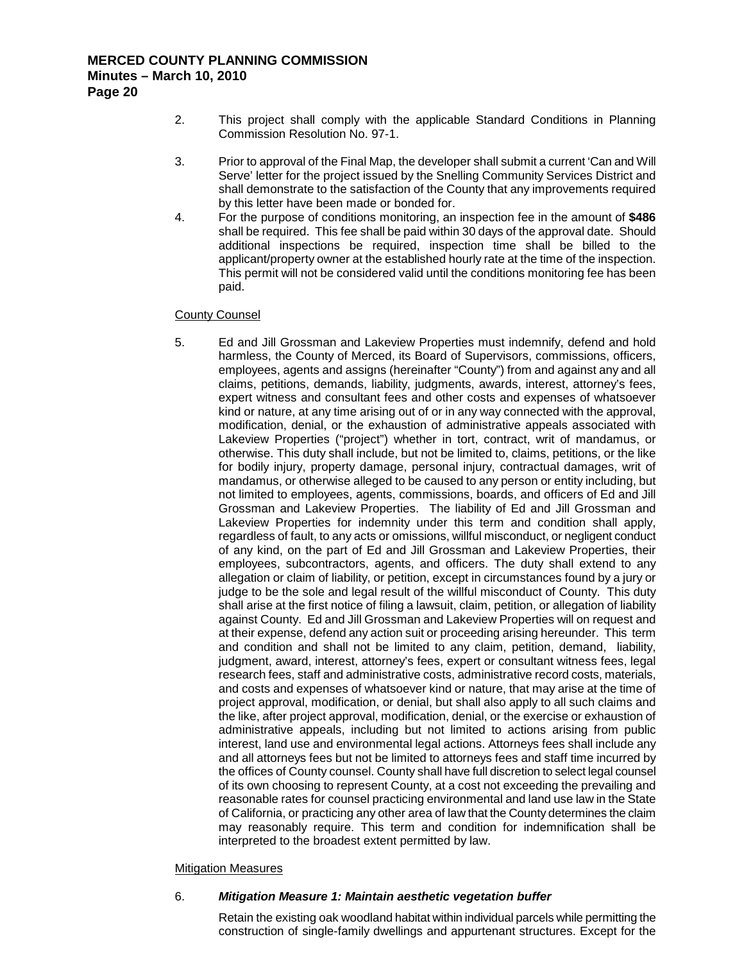- 2. This project shall comply with the applicable Standard Conditions in Planning Commission Resolution No. 97-1.
- 3. Prior to approval of the Final Map, the developer shall submit a current 'Can and Will Serve' letter for the project issued by the Snelling Community Services District and shall demonstrate to the satisfaction of the County that any improvements required by this letter have been made or bonded for.
- 4. For the purpose of conditions monitoring, an inspection fee in the amount of **\$486** shall be required. This fee shall be paid within 30 days of the approval date. Should additional inspections be required, inspection time shall be billed to the applicant/property owner at the established hourly rate at the time of the inspection. This permit will not be considered valid until the conditions monitoring fee has been paid.

#### County Counsel

5. Ed and Jill Grossman and Lakeview Properties must indemnify, defend and hold harmless, the County of Merced, its Board of Supervisors, commissions, officers, employees, agents and assigns (hereinafter "County") from and against any and all claims, petitions, demands, liability, judgments, awards, interest, attorney's fees, expert witness and consultant fees and other costs and expenses of whatsoever kind or nature, at any time arising out of or in any way connected with the approval, modification, denial, or the exhaustion of administrative appeals associated with Lakeview Properties ("project") whether in tort, contract, writ of mandamus, or otherwise. This duty shall include, but not be limited to, claims, petitions, or the like for bodily injury, property damage, personal injury, contractual damages, writ of mandamus, or otherwise alleged to be caused to any person or entity including, but not limited to employees, agents, commissions, boards, and officers of Ed and Jill Grossman and Lakeview Properties. The liability of Ed and Jill Grossman and Lakeview Properties for indemnity under this term and condition shall apply, regardless of fault, to any acts or omissions, willful misconduct, or negligent conduct of any kind, on the part of Ed and Jill Grossman and Lakeview Properties, their employees, subcontractors, agents, and officers. The duty shall extend to any allegation or claim of liability, or petition, except in circumstances found by a jury or judge to be the sole and legal result of the willful misconduct of County. This duty shall arise at the first notice of filing a lawsuit, claim, petition, or allegation of liability against County. Ed and Jill Grossman and Lakeview Properties will on request and at their expense, defend any action suit or proceeding arising hereunder. This term and condition and shall not be limited to any claim, petition, demand, liability, judgment, award, interest, attorney's fees, expert or consultant witness fees, legal research fees, staff and administrative costs, administrative record costs, materials, and costs and expenses of whatsoever kind or nature, that may arise at the time of project approval, modification, or denial, but shall also apply to all such claims and the like, after project approval, modification, denial, or the exercise or exhaustion of administrative appeals, including but not limited to actions arising from public interest, land use and environmental legal actions. Attorneys fees shall include any and all attorneys fees but not be limited to attorneys fees and staff time incurred by the offices of County counsel. County shall have full discretion to select legal counsel of its own choosing to represent County, at a cost not exceeding the prevailing and reasonable rates for counsel practicing environmental and land use law in the State of California, or practicing any other area of law that the County determines the claim may reasonably require. This term and condition for indemnification shall be interpreted to the broadest extent permitted by law.

#### Mitigation Measures

#### 6. *Mitigation Measure 1: Maintain aesthetic vegetation buffer*

Retain the existing oak woodland habitat within individual parcels while permitting the construction of single-family dwellings and appurtenant structures. Except for the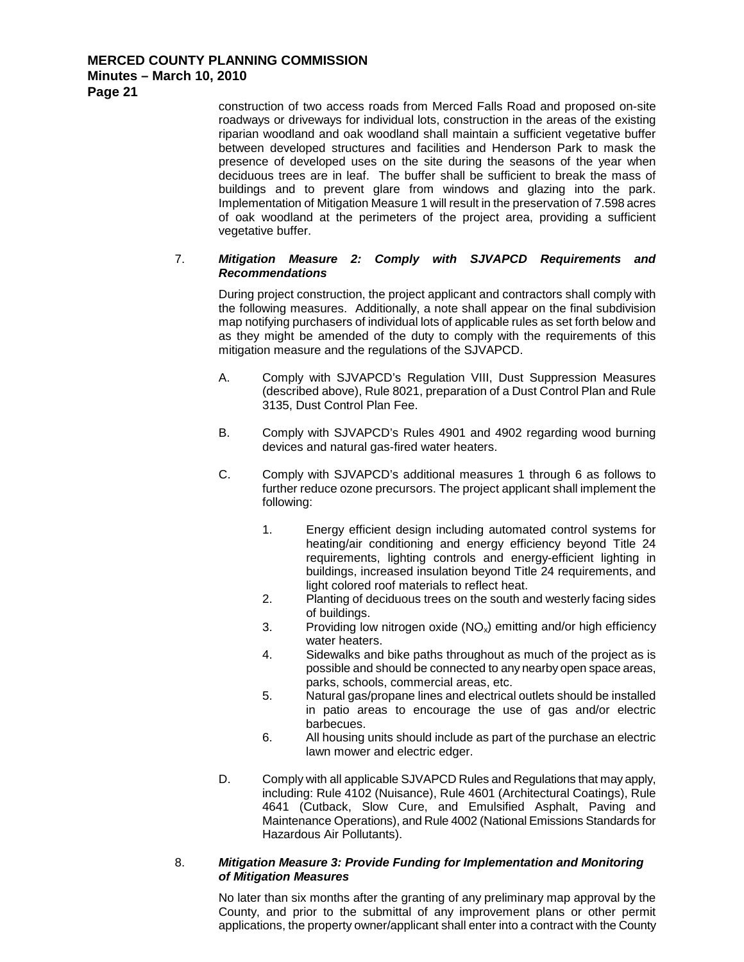**Page 21**

construction of two access roads from Merced Falls Road and proposed on-site roadways or driveways for individual lots, construction in the areas of the existing riparian woodland and oak woodland shall maintain a sufficient vegetative buffer between developed structures and facilities and Henderson Park to mask the presence of developed uses on the site during the seasons of the year when deciduous trees are in leaf. The buffer shall be sufficient to break the mass of buildings and to prevent glare from windows and glazing into the park. Implementation of Mitigation Measure 1 will result in the preservation of 7.598 acres of oak woodland at the perimeters of the project area, providing a sufficient vegetative buffer.

### 7. *Mitigation Measure 2: Comply with SJVAPCD Requirements and Recommendations*

During project construction, the project applicant and contractors shall comply with the following measures. Additionally, a note shall appear on the final subdivision map notifying purchasers of individual lots of applicable rules as set forth below and as they might be amended of the duty to comply with the requirements of this mitigation measure and the regulations of the SJVAPCD.

- A. Comply with SJVAPCD's Regulation VIII, Dust Suppression Measures (described above), Rule 8021, preparation of a Dust Control Plan and Rule 3135, Dust Control Plan Fee.
- B. Comply with SJVAPCD's Rules 4901 and 4902 regarding wood burning devices and natural gas-fired water heaters.
- C. Comply with SJVAPCD's additional measures 1 through 6 as follows to further reduce ozone precursors. The project applicant shall implement the following:
	- 1. Energy efficient design including automated control systems for heating/air conditioning and energy efficiency beyond Title 24 requirements, lighting controls and energy-efficient lighting in buildings, increased insulation beyond Title 24 requirements, and light colored roof materials to reflect heat.
	- 2. Planting of deciduous trees on the south and westerly facing sides of buildings.
	- 3. Providing low nitrogen oxide  $(NO_x)$  emitting and/or high efficiency water heaters.
	- 4. Sidewalks and bike paths throughout as much of the project as is possible and should be connected to any nearby open space areas, parks, schools, commercial areas, etc.
	- 5. Natural gas/propane lines and electrical outlets should be installed in patio areas to encourage the use of gas and/or electric barbecues.
	- 6. All housing units should include as part of the purchase an electric lawn mower and electric edger.
- D. Comply with all applicable SJVAPCD Rules and Regulations that may apply, including: Rule 4102 (Nuisance), Rule 4601 (Architectural Coatings), Rule 4641 (Cutback, Slow Cure, and Emulsified Asphalt, Paving and Maintenance Operations), and Rule 4002 (National Emissions Standards for Hazardous Air Pollutants).

#### 8. *Mitigation Measure 3: Provide Funding for Implementation and Monitoring of Mitigation Measures*

No later than six months after the granting of any preliminary map approval by the County, and prior to the submittal of any improvement plans or other permit applications, the property owner/applicant shall enter into a contract with the County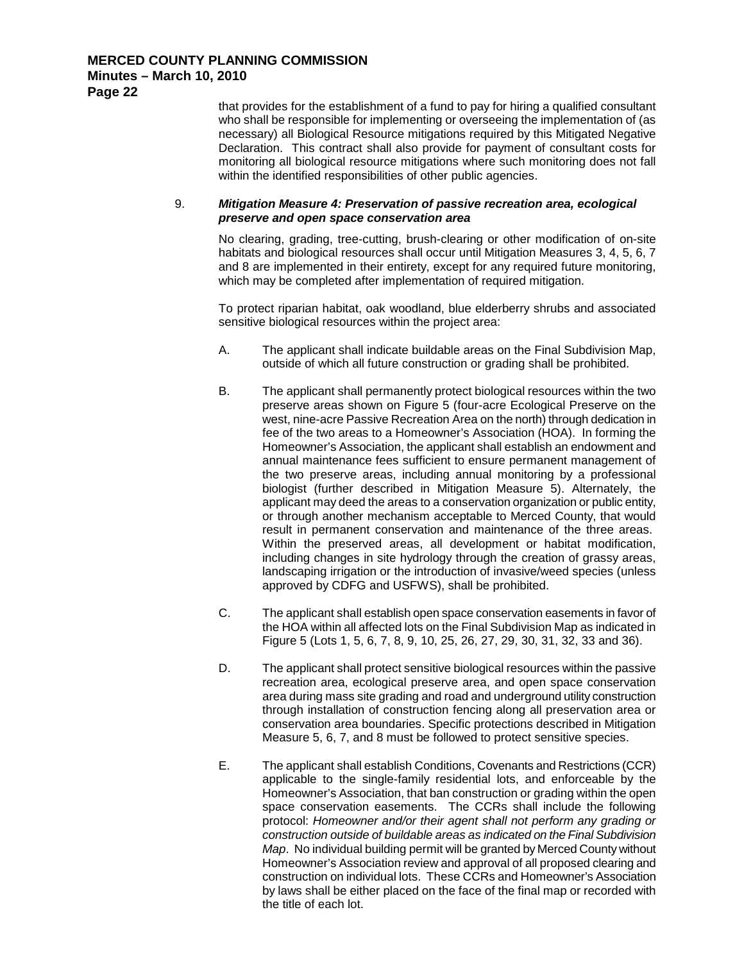that provides for the establishment of a fund to pay for hiring a qualified consultant who shall be responsible for implementing or overseeing the implementation of (as necessary) all Biological Resource mitigations required by this Mitigated Negative Declaration. This contract shall also provide for payment of consultant costs for monitoring all biological resource mitigations where such monitoring does not fall within the identified responsibilities of other public agencies.

#### 9. *Mitigation Measure 4: Preservation of passive recreation area, ecological preserve and open space conservation area*

No clearing, grading, tree-cutting, brush-clearing or other modification of on-site habitats and biological resources shall occur until Mitigation Measures 3, 4, 5, 6, 7 and 8 are implemented in their entirety, except for any required future monitoring, which may be completed after implementation of required mitigation.

To protect riparian habitat, oak woodland, blue elderberry shrubs and associated sensitive biological resources within the project area:

- A. The applicant shall indicate buildable areas on the Final Subdivision Map, outside of which all future construction or grading shall be prohibited.
- B. The applicant shall permanently protect biological resources within the two preserve areas shown on Figure 5 (four-acre Ecological Preserve on the west, nine-acre Passive Recreation Area on the north) through dedication in fee of the two areas to a Homeowner's Association (HOA). In forming the Homeowner's Association, the applicant shall establish an endowment and annual maintenance fees sufficient to ensure permanent management of the two preserve areas, including annual monitoring by a professional biologist (further described in Mitigation Measure 5). Alternately, the applicant may deed the areas to a conservation organization or public entity, or through another mechanism acceptable to Merced County, that would result in permanent conservation and maintenance of the three areas. Within the preserved areas, all development or habitat modification, including changes in site hydrology through the creation of grassy areas, landscaping irrigation or the introduction of invasive/weed species (unless approved by CDFG and USFWS), shall be prohibited.
- C. The applicant shall establish open space conservation easements in favor of the HOA within all affected lots on the Final Subdivision Map as indicated in Figure 5 (Lots 1, 5, 6, 7, 8, 9, 10, 25, 26, 27, 29, 30, 31, 32, 33 and 36).
- D. The applicant shall protect sensitive biological resources within the passive recreation area, ecological preserve area, and open space conservation area during mass site grading and road and underground utility construction through installation of construction fencing along all preservation area or conservation area boundaries. Specific protections described in Mitigation Measure 5, 6, 7, and 8 must be followed to protect sensitive species.
- E. The applicant shall establish Conditions, Covenants and Restrictions (CCR) applicable to the single-family residential lots, and enforceable by the Homeowner's Association, that ban construction or grading within the open space conservation easements. The CCRs shall include the following protocol: *Homeowner and/or their agent shall not perform any grading or construction outside of buildable areas as indicated on the Final Subdivision Map*. No individual building permit will be granted by Merced County without Homeowner's Association review and approval of all proposed clearing and construction on individual lots. These CCRs and Homeowner's Association by laws shall be either placed on the face of the final map or recorded with the title of each lot.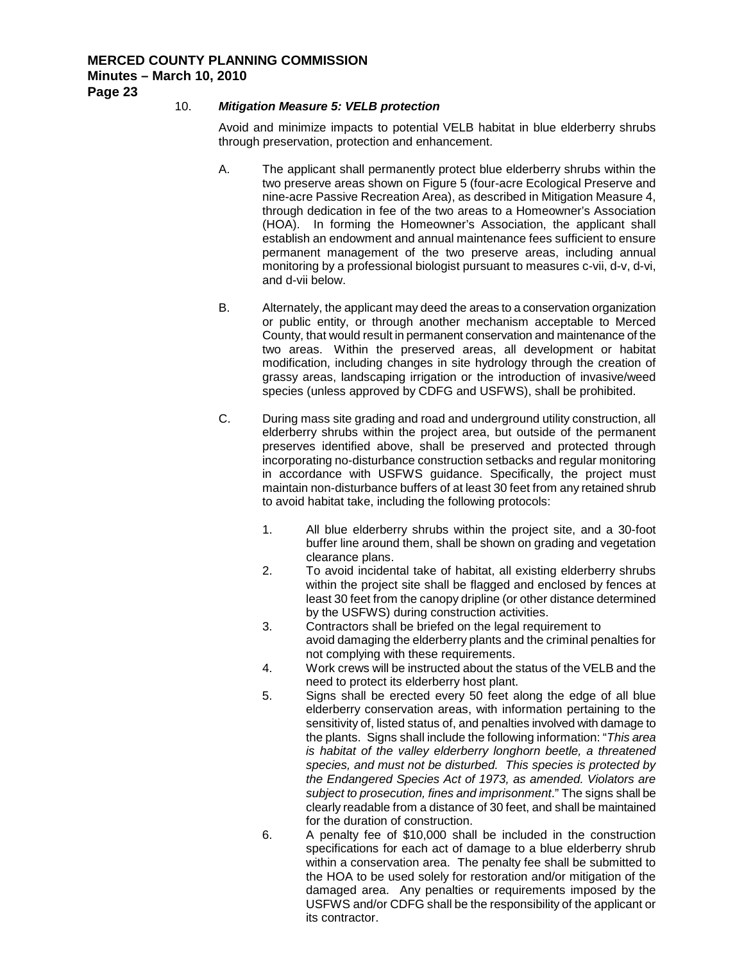#### 10. *Mitigation Measure 5: VELB protection*

Avoid and minimize impacts to potential VELB habitat in blue elderberry shrubs through preservation, protection and enhancement.

- A. The applicant shall permanently protect blue elderberry shrubs within the two preserve areas shown on Figure 5 (four-acre Ecological Preserve and nine-acre Passive Recreation Area), as described in Mitigation Measure 4, through dedication in fee of the two areas to a Homeowner's Association (HOA). In forming the Homeowner's Association, the applicant shall establish an endowment and annual maintenance fees sufficient to ensure permanent management of the two preserve areas, including annual monitoring by a professional biologist pursuant to measures c-vii, d-v, d-vi, and d-vii below.
- B. Alternately, the applicant may deed the areas to a conservation organization or public entity, or through another mechanism acceptable to Merced County, that would result in permanent conservation and maintenance of the two areas. Within the preserved areas, all development or habitat modification, including changes in site hydrology through the creation of grassy areas, landscaping irrigation or the introduction of invasive/weed species (unless approved by CDFG and USFWS), shall be prohibited.
- C. During mass site grading and road and underground utility construction, all elderberry shrubs within the project area, but outside of the permanent preserves identified above, shall be preserved and protected through incorporating no-disturbance construction setbacks and regular monitoring in accordance with USFWS guidance. Specifically, the project must maintain non-disturbance buffers of at least 30 feet from any retained shrub to avoid habitat take, including the following protocols:
	- 1. All blue elderberry shrubs within the project site, and a 30-foot buffer line around them, shall be shown on grading and vegetation clearance plans.
	- 2. To avoid incidental take of habitat, all existing elderberry shrubs within the project site shall be flagged and enclosed by fences at least 30 feet from the canopy dripline (or other distance determined by the USFWS) during construction activities.
	- 3. Contractors shall be briefed on the legal requirement to avoid damaging the elderberry plants and the criminal penalties for not complying with these requirements.
	- 4. Work crews will be instructed about the status of the VELB and the need to protect its elderberry host plant.
	- 5. Signs shall be erected every 50 feet along the edge of all blue elderberry conservation areas, with information pertaining to the sensitivity of, listed status of, and penalties involved with damage to the plants. Signs shall include the following information: "*This area is habitat of the valley elderberry longhorn beetle, a threatened species, and must not be disturbed. This species is protected by the Endangered Species Act of 1973, as amended. Violators are subject to prosecution, fines and imprisonment*." The signs shall be clearly readable from a distance of 30 feet, and shall be maintained for the duration of construction.
	- 6. A penalty fee of \$10,000 shall be included in the construction specifications for each act of damage to a blue elderberry shrub within a conservation area. The penalty fee shall be submitted to the HOA to be used solely for restoration and/or mitigation of the damaged area. Any penalties or requirements imposed by the USFWS and/or CDFG shall be the responsibility of the applicant or its contractor.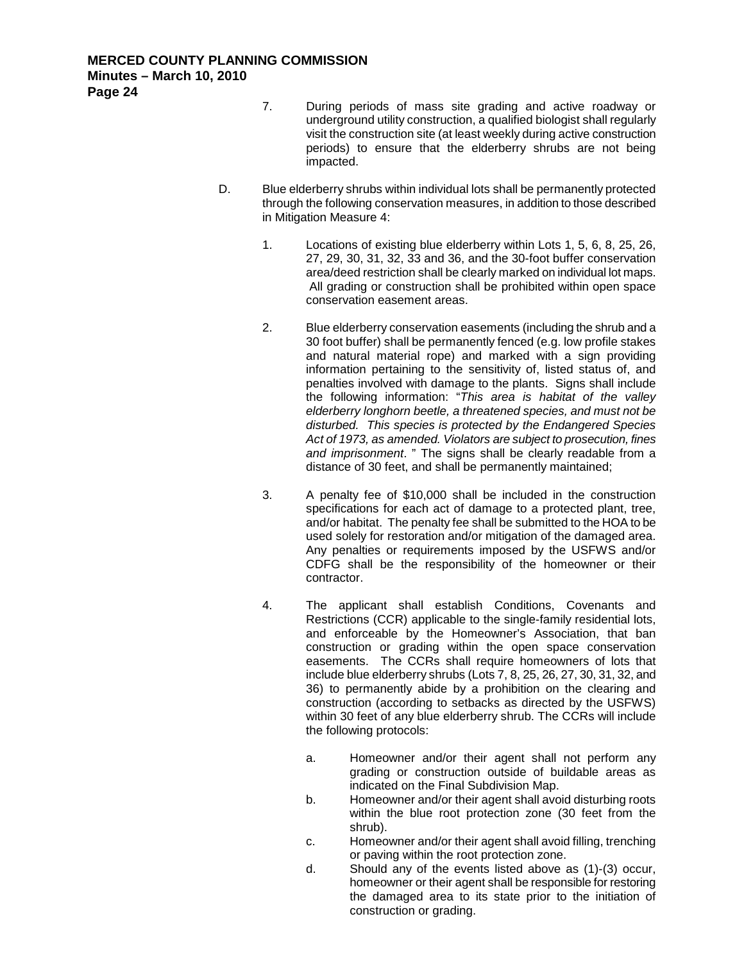- 7. During periods of mass site grading and active roadway or underground utility construction, a qualified biologist shall regularly visit the construction site (at least weekly during active construction periods) to ensure that the elderberry shrubs are not being impacted.
- D. Blue elderberry shrubs within individual lots shall be permanently protected through the following conservation measures, in addition to those described in Mitigation Measure 4:
	- 1. Locations of existing blue elderberry within Lots 1, 5, 6, 8, 25, 26, 27, 29, 30, 31, 32, 33 and 36, and the 30-foot buffer conservation area/deed restriction shall be clearly marked on individual lot maps. All grading or construction shall be prohibited within open space conservation easement areas.
	- 2. Blue elderberry conservation easements (including the shrub and a 30 foot buffer) shall be permanently fenced (e.g. low profile stakes and natural material rope) and marked with a sign providing information pertaining to the sensitivity of, listed status of, and penalties involved with damage to the plants. Signs shall include the following information: "*This area is habitat of the valley elderberry longhorn beetle, a threatened species, and must not be disturbed. This species is protected by the Endangered Species Act of 1973, as amended. Violators are subject to prosecution, fines and imprisonment*. " The signs shall be clearly readable from a distance of 30 feet, and shall be permanently maintained;
	- 3. A penalty fee of \$10,000 shall be included in the construction specifications for each act of damage to a protected plant, tree, and/or habitat. The penalty fee shall be submitted to the HOA to be used solely for restoration and/or mitigation of the damaged area. Any penalties or requirements imposed by the USFWS and/or CDFG shall be the responsibility of the homeowner or their contractor.
	- 4. The applicant shall establish Conditions, Covenants and Restrictions (CCR) applicable to the single-family residential lots, and enforceable by the Homeowner's Association, that ban construction or grading within the open space conservation easements. The CCRs shall require homeowners of lots that include blue elderberry shrubs (Lots 7, 8, 25, 26, 27, 30, 31, 32, and 36) to permanently abide by a prohibition on the clearing and construction (according to setbacks as directed by the USFWS) within 30 feet of any blue elderberry shrub. The CCRs will include the following protocols:
		- a. Homeowner and/or their agent shall not perform any grading or construction outside of buildable areas as indicated on the Final Subdivision Map.
		- b. Homeowner and/or their agent shall avoid disturbing roots within the blue root protection zone (30 feet from the shrub).
		- c. Homeowner and/or their agent shall avoid filling, trenching or paving within the root protection zone.
		- d. Should any of the events listed above as (1)-(3) occur, homeowner or their agent shall be responsible for restoring the damaged area to its state prior to the initiation of construction or grading.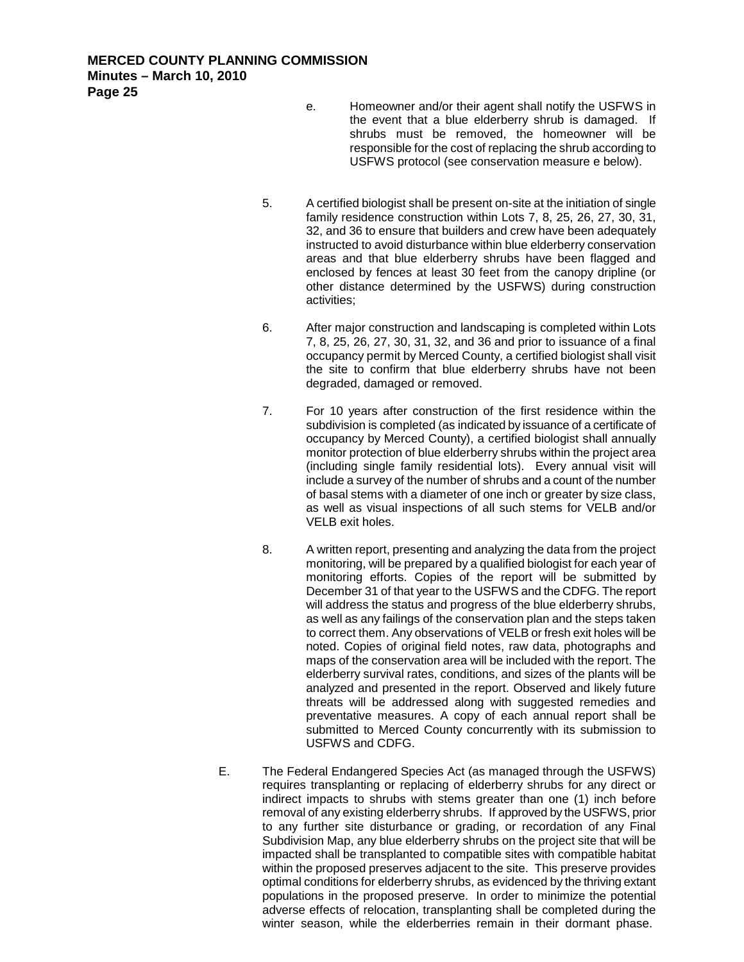- e. Homeowner and/or their agent shall notify the USFWS in the event that a blue elderberry shrub is damaged. If shrubs must be removed, the homeowner will be responsible for the cost of replacing the shrub according to USFWS protocol (see conservation measure e below).
- 5. A certified biologist shall be present on-site at the initiation of single family residence construction within Lots 7, 8, 25, 26, 27, 30, 31, 32, and 36 to ensure that builders and crew have been adequately instructed to avoid disturbance within blue elderberry conservation areas and that blue elderberry shrubs have been flagged and enclosed by fences at least 30 feet from the canopy dripline (or other distance determined by the USFWS) during construction activities;
- 6. After major construction and landscaping is completed within Lots 7, 8, 25, 26, 27, 30, 31, 32, and 36 and prior to issuance of a final occupancy permit by Merced County, a certified biologist shall visit the site to confirm that blue elderberry shrubs have not been degraded, damaged or removed.
- 7. For 10 years after construction of the first residence within the subdivision is completed (as indicated by issuance of a certificate of occupancy by Merced County), a certified biologist shall annually monitor protection of blue elderberry shrubs within the project area (including single family residential lots). Every annual visit will include a survey of the number of shrubs and a count of the number of basal stems with a diameter of one inch or greater by size class, as well as visual inspections of all such stems for VELB and/or VELB exit holes.
- 8. A written report, presenting and analyzing the data from the project monitoring, will be prepared by a qualified biologist for each year of monitoring efforts. Copies of the report will be submitted by December 31 of that year to the USFWS and the CDFG. The report will address the status and progress of the blue elderberry shrubs, as well as any failings of the conservation plan and the steps taken to correct them. Any observations of VELB or fresh exit holes will be noted. Copies of original field notes, raw data, photographs and maps of the conservation area will be included with the report. The elderberry survival rates, conditions, and sizes of the plants will be analyzed and presented in the report. Observed and likely future threats will be addressed along with suggested remedies and preventative measures. A copy of each annual report shall be submitted to Merced County concurrently with its submission to USFWS and CDFG.
- E. The Federal Endangered Species Act (as managed through the USFWS) requires transplanting or replacing of elderberry shrubs for any direct or indirect impacts to shrubs with stems greater than one (1) inch before removal of any existing elderberry shrubs. If approved by the USFWS, prior to any further site disturbance or grading, or recordation of any Final Subdivision Map, any blue elderberry shrubs on the project site that will be impacted shall be transplanted to compatible sites with compatible habitat within the proposed preserves adjacent to the site. This preserve provides optimal conditions for elderberry shrubs, as evidenced by the thriving extant populations in the proposed preserve. In order to minimize the potential adverse effects of relocation, transplanting shall be completed during the winter season, while the elderberries remain in their dormant phase.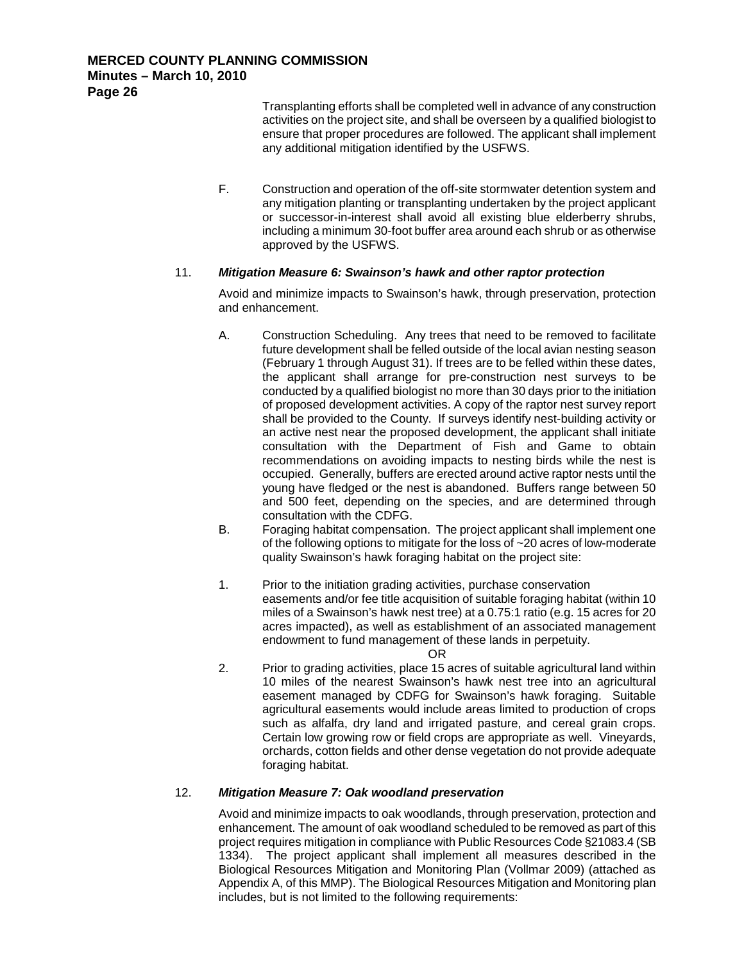Transplanting efforts shall be completed well in advance of any construction activities on the project site, and shall be overseen by a qualified biologist to ensure that proper procedures are followed. The applicant shall implement any additional mitigation identified by the USFWS.

F. Construction and operation of the off-site stormwater detention system and any mitigation planting or transplanting undertaken by the project applicant or successor-in-interest shall avoid all existing blue elderberry shrubs, including a minimum 30-foot buffer area around each shrub or as otherwise approved by the USFWS.

#### 11. *Mitigation Measure 6: Swainson's hawk and other raptor protection*

Avoid and minimize impacts to Swainson's hawk, through preservation, protection and enhancement.

- A. Construction Scheduling. Any trees that need to be removed to facilitate future development shall be felled outside of the local avian nesting season (February 1 through August 31). If trees are to be felled within these dates, the applicant shall arrange for pre-construction nest surveys to be conducted by a qualified biologist no more than 30 days prior to the initiation of proposed development activities. A copy of the raptor nest survey report shall be provided to the County. If surveys identify nest-building activity or an active nest near the proposed development, the applicant shall initiate consultation with the Department of Fish and Game to obtain recommendations on avoiding impacts to nesting birds while the nest is occupied. Generally, buffers are erected around active raptor nests until the young have fledged or the nest is abandoned. Buffers range between 50 and 500 feet, depending on the species, and are determined through consultation with the CDFG.
- B. Foraging habitat compensation. The project applicant shall implement one of the following options to mitigate for the loss of ~20 acres of low-moderate quality Swainson's hawk foraging habitat on the project site:
- 1. Prior to the initiation grading activities, purchase conservation easements and/or fee title acquisition of suitable foraging habitat (within 10 miles of a Swainson's hawk nest tree) at a 0.75:1 ratio (e.g. 15 acres for 20 acres impacted), as well as establishment of an associated management endowment to fund management of these lands in perpetuity.

OR

2. Prior to grading activities, place 15 acres of suitable agricultural land within 10 miles of the nearest Swainson's hawk nest tree into an agricultural easement managed by CDFG for Swainson's hawk foraging. Suitable agricultural easements would include areas limited to production of crops such as alfalfa, dry land and irrigated pasture, and cereal grain crops. Certain low growing row or field crops are appropriate as well. Vineyards, orchards, cotton fields and other dense vegetation do not provide adequate foraging habitat.

#### 12. *Mitigation Measure 7: Oak woodland preservation*

Avoid and minimize impacts to oak woodlands, through preservation, protection and enhancement. The amount of oak woodland scheduled to be removed as part of this project requires mitigation in compliance with Public Resources Code §21083.4 (SB 1334). The project applicant shall implement all measures described in the Biological Resources Mitigation and Monitoring Plan (Vollmar 2009) (attached as Appendix A, of this MMP). The Biological Resources Mitigation and Monitoring plan includes, but is not limited to the following requirements: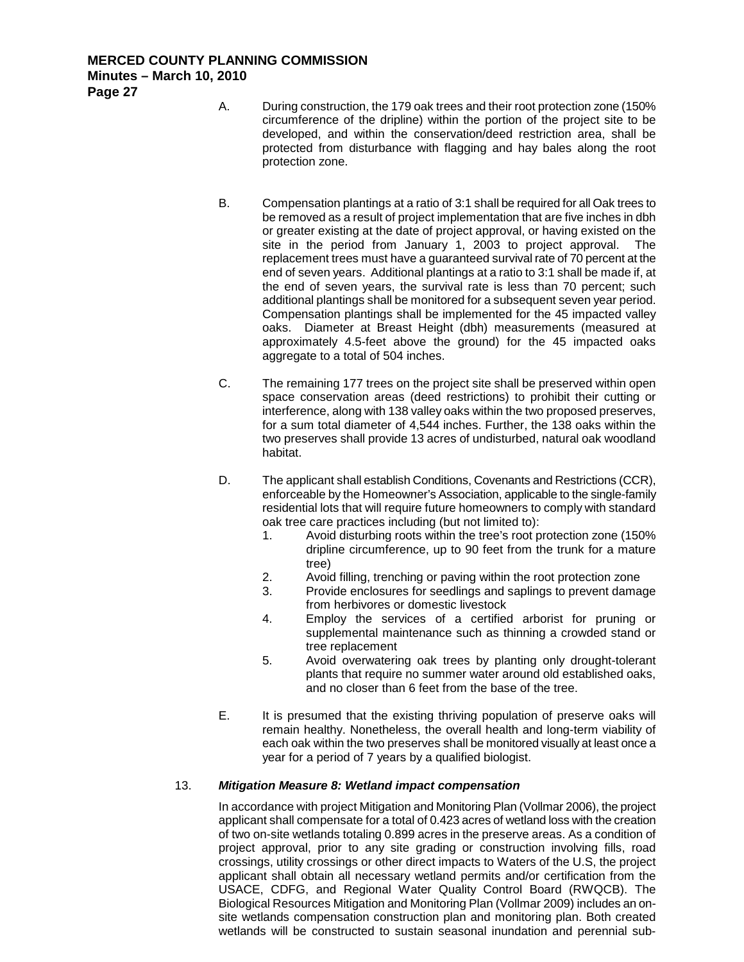- A. During construction, the 179 oak trees and their root protection zone (150% circumference of the dripline) within the portion of the project site to be developed, and within the conservation/deed restriction area, shall be protected from disturbance with flagging and hay bales along the root protection zone.
- B. Compensation plantings at a ratio of 3:1 shall be required for all Oak trees to be removed as a result of project implementation that are five inches in dbh or greater existing at the date of project approval, or having existed on the site in the period from January 1, 2003 to project approval. The replacement trees must have a guaranteed survival rate of 70 percent at the end of seven years. Additional plantings at a ratio to 3:1 shall be made if, at the end of seven years, the survival rate is less than 70 percent; such additional plantings shall be monitored for a subsequent seven year period. Compensation plantings shall be implemented for the 45 impacted valley oaks. Diameter at Breast Height (dbh) measurements (measured at approximately 4.5-feet above the ground) for the 45 impacted oaks aggregate to a total of 504 inches.
- C. The remaining 177 trees on the project site shall be preserved within open space conservation areas (deed restrictions) to prohibit their cutting or interference, along with 138 valley oaks within the two proposed preserves, for a sum total diameter of 4,544 inches. Further, the 138 oaks within the two preserves shall provide 13 acres of undisturbed, natural oak woodland habitat.
- D. The applicant shall establish Conditions, Covenants and Restrictions (CCR), enforceable by the Homeowner's Association, applicable to the single-family residential lots that will require future homeowners to comply with standard oak tree care practices including (but not limited to):
	- 1. Avoid disturbing roots within the tree's root protection zone (150% dripline circumference, up to 90 feet from the trunk for a mature tree)
	- 2. Avoid filling, trenching or paving within the root protection zone
	- 3. Provide enclosures for seedlings and saplings to prevent damage from herbivores or domestic livestock
	- 4. Employ the services of a certified arborist for pruning or supplemental maintenance such as thinning a crowded stand or tree replacement
	- 5. Avoid overwatering oak trees by planting only drought-tolerant plants that require no summer water around old established oaks, and no closer than 6 feet from the base of the tree.
- E. It is presumed that the existing thriving population of preserve oaks will remain healthy. Nonetheless, the overall health and long-term viability of each oak within the two preserves shall be monitored visually at least once a year for a period of 7 years by a qualified biologist.

### 13. *Mitigation Measure 8: Wetland impact compensation*

In accordance with project Mitigation and Monitoring Plan (Vollmar 2006), the project applicant shall compensate for a total of 0.423 acres of wetland loss with the creation of two on-site wetlands totaling 0.899 acres in the preserve areas. As a condition of project approval, prior to any site grading or construction involving fills, road crossings, utility crossings or other direct impacts to Waters of the U.S, the project applicant shall obtain all necessary wetland permits and/or certification from the USACE, CDFG, and Regional Water Quality Control Board (RWQCB). The Biological Resources Mitigation and Monitoring Plan (Vollmar 2009) includes an onsite wetlands compensation construction plan and monitoring plan. Both created wetlands will be constructed to sustain seasonal inundation and perennial sub-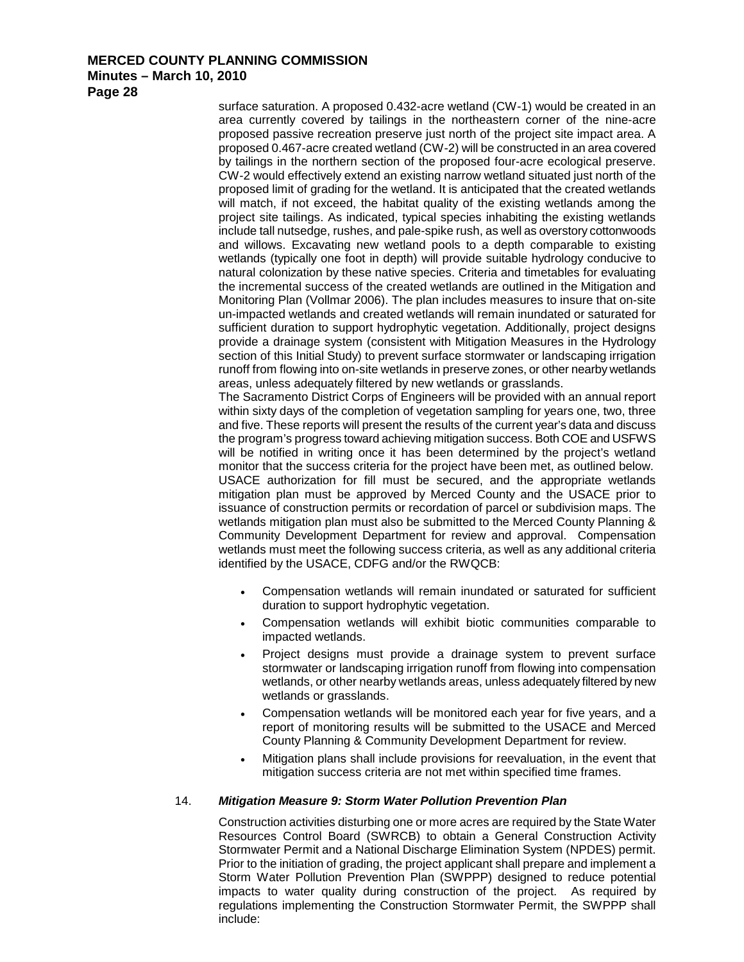**Page 28**

surface saturation. A proposed 0.432-acre wetland (CW-1) would be created in an area currently covered by tailings in the northeastern corner of the nine-acre proposed passive recreation preserve just north of the project site impact area. A proposed 0.467-acre created wetland (CW-2) will be constructed in an area covered by tailings in the northern section of the proposed four-acre ecological preserve. CW-2 would effectively extend an existing narrow wetland situated just north of the proposed limit of grading for the wetland. It is anticipated that the created wetlands will match, if not exceed, the habitat quality of the existing wetlands among the project site tailings. As indicated, typical species inhabiting the existing wetlands include tall nutsedge, rushes, and pale-spike rush, as well as overstory cottonwoods and willows. Excavating new wetland pools to a depth comparable to existing wetlands (typically one foot in depth) will provide suitable hydrology conducive to natural colonization by these native species. Criteria and timetables for evaluating the incremental success of the created wetlands are outlined in the Mitigation and Monitoring Plan (Vollmar 2006). The plan includes measures to insure that on-site un-impacted wetlands and created wetlands will remain inundated or saturated for sufficient duration to support hydrophytic vegetation. Additionally, project designs provide a drainage system (consistent with Mitigation Measures in the Hydrology section of this Initial Study) to prevent surface stormwater or landscaping irrigation runoff from flowing into on-site wetlands in preserve zones, or other nearby wetlands areas, unless adequately filtered by new wetlands or grasslands.

The Sacramento District Corps of Engineers will be provided with an annual report within sixty days of the completion of vegetation sampling for years one, two, three and five. These reports will present the results of the current year's data and discuss the program's progress toward achieving mitigation success. Both COE and USFWS will be notified in writing once it has been determined by the project's wetland monitor that the success criteria for the project have been met, as outlined below. USACE authorization for fill must be secured, and the appropriate wetlands mitigation plan must be approved by Merced County and the USACE prior to issuance of construction permits or recordation of parcel or subdivision maps. The wetlands mitigation plan must also be submitted to the Merced County Planning & Community Development Department for review and approval. Compensation wetlands must meet the following success criteria, as well as any additional criteria identified by the USACE, CDFG and/or the RWQCB:

- Compensation wetlands will remain inundated or saturated for sufficient duration to support hydrophytic vegetation.
- Compensation wetlands will exhibit biotic communities comparable to impacted wetlands.
- Project designs must provide a drainage system to prevent surface stormwater or landscaping irrigation runoff from flowing into compensation wetlands, or other nearby wetlands areas, unless adequately filtered by new wetlands or grasslands.
- Compensation wetlands will be monitored each year for five years, and a report of monitoring results will be submitted to the USACE and Merced County Planning & Community Development Department for review.
- Mitigation plans shall include provisions for reevaluation, in the event that mitigation success criteria are not met within specified time frames.

### 14. *Mitigation Measure 9: Storm Water Pollution Prevention Plan*

Construction activities disturbing one or more acres are required by the State Water Resources Control Board (SWRCB) to obtain a General Construction Activity Stormwater Permit and a National Discharge Elimination System (NPDES) permit. Prior to the initiation of grading, the project applicant shall prepare and implement a Storm Water Pollution Prevention Plan (SWPPP) designed to reduce potential impacts to water quality during construction of the project. As required by regulations implementing the Construction Stormwater Permit, the SWPPP shall include: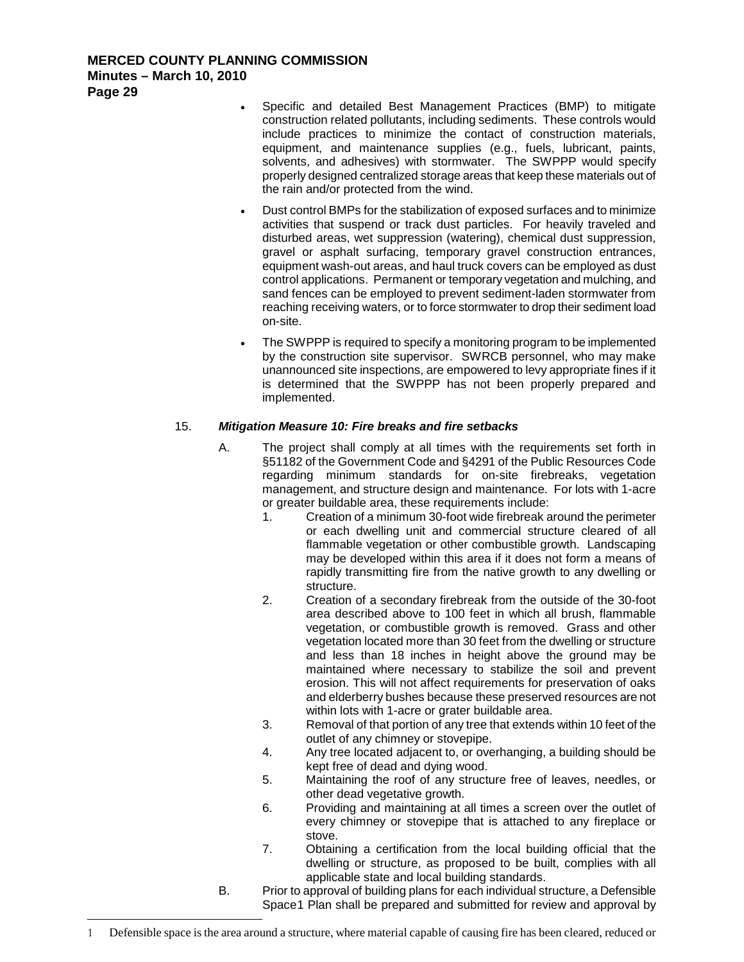- Specific and detailed Best Management Practices (BMP) to mitigate construction related pollutants, including sediments. These controls would include practices to minimize the contact of construction materials, equipment, and maintenance supplies (e.g., fuels, lubricant, paints, solvents, and adhesives) with stormwater. The SWPPP would specify properly designed centralized storage areas that keep these materials out of the rain and/or protected from the wind.
- Dust control BMPs for the stabilization of exposed surfaces and to minimize activities that suspend or track dust particles. For heavily traveled and disturbed areas, wet suppression (watering), chemical dust suppression, gravel or asphalt surfacing, temporary gravel construction entrances, equipment wash-out areas, and haul truck covers can be employed as dust control applications. Permanent or temporary vegetation and mulching, and sand fences can be employed to prevent sediment-laden stormwater from reaching receiving waters, or to force stormwater to drop their sediment load on-site.
- The SWPPP is required to specify a monitoring program to be implemented by the construction site supervisor. SWRCB personnel, who may make unannounced site inspections, are empowered to levy appropriate fines if it is determined that the SWPPP has not been properly prepared and implemented.

### 15. *Mitigation Measure 10: Fire breaks and fire setbacks*

- A. The project shall comply at all times with the requirements set forth in §51182 of the Government Code and §4291 of the Public Resources Code regarding minimum standards for on-site firebreaks, vegetation management, and structure design and maintenance. For lots with 1-acre or greater buildable area, these requirements include:
	- 1. Creation of a minimum 30-foot wide firebreak around the perimeter or each dwelling unit and commercial structure cleared of all flammable vegetation or other combustible growth. Landscaping may be developed within this area if it does not form a means of rapidly transmitting fire from the native growth to any dwelling or structure.
	- 2. Creation of a secondary firebreak from the outside of the 30-foot area described above to 100 feet in which all brush, flammable vegetation, or combustible growth is removed. Grass and other vegetation located more than 30 feet from the dwelling or structure and less than 18 inches in height above the ground may be maintained where necessary to stabilize the soil and prevent erosion. This will not affect requirements for preservation of oaks and elderberry bushes because these preserved resources are not within lots with 1-acre or grater buildable area.
	- 3. Removal of that portion of any tree that extends within 10 feet of the outlet of any chimney or stovepipe.
	- 4. Any tree located adjacent to, or overhanging, a building should be kept free of dead and dying wood.
	- 5. Maintaining the roof of any structure free of leaves, needles, or other dead vegetative growth.
	- 6. Providing and maintaining at all times a screen over the outlet of every chimney or stovepipe that is attached to any fireplace or stove.
	- 7. Obtaining a certification from the local building official that the dwelling or structure, as proposed to be built, complies with all applicable state and local building standards.
- <span id="page-28-0"></span>B. Prior to approval of building plans for each individual structure, a Defensible Space[1](#page-28-0) Plan shall be prepared and submitted for review and approval by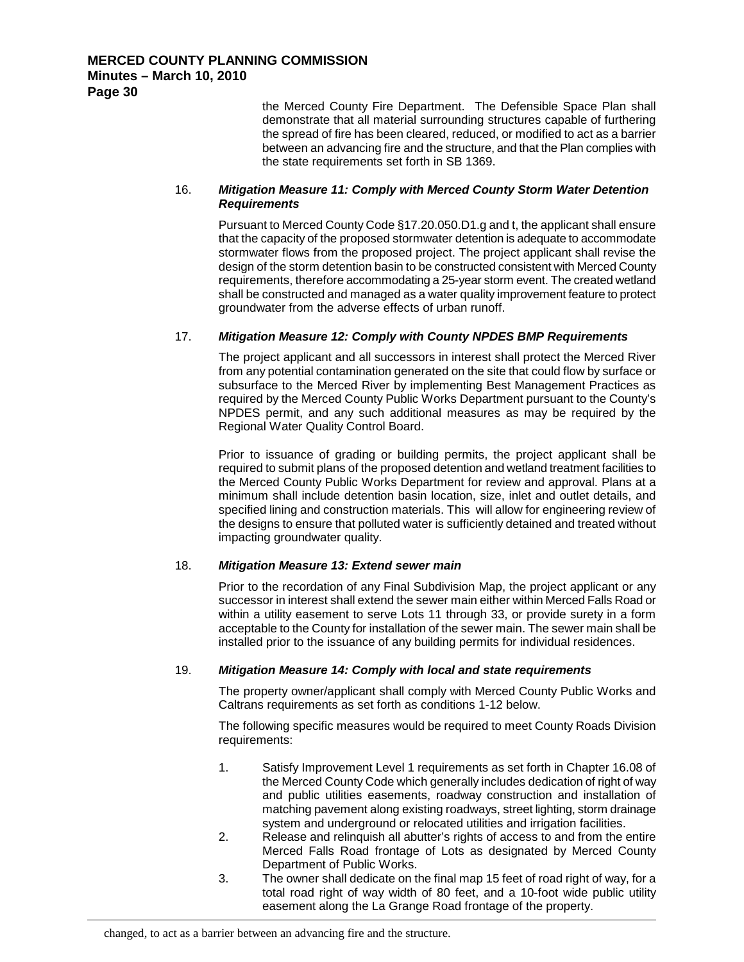the Merced County Fire Department. The Defensible Space Plan shall demonstrate that all material surrounding structures capable of furthering the spread of fire has been cleared, reduced, or modified to act as a barrier between an advancing fire and the structure, and that the Plan complies with the state requirements set forth in SB 1369.

#### 16. *Mitigation Measure 11: Comply with Merced County Storm Water Detention Requirements*

Pursuant to Merced County Code §17.20.050.D1.g and t, the applicant shall ensure that the capacity of the proposed stormwater detention is adequate to accommodate stormwater flows from the proposed project. The project applicant shall revise the design of the storm detention basin to be constructed consistent with Merced County requirements, therefore accommodating a 25-year storm event. The created wetland shall be constructed and managed as a water quality improvement feature to protect groundwater from the adverse effects of urban runoff.

#### 17. *Mitigation Measure 12: Comply with County NPDES BMP Requirements*

The project applicant and all successors in interest shall protect the Merced River from any potential contamination generated on the site that could flow by surface or subsurface to the Merced River by implementing Best Management Practices as required by the Merced County Public Works Department pursuant to the County's NPDES permit, and any such additional measures as may be required by the Regional Water Quality Control Board.

Prior to issuance of grading or building permits, the project applicant shall be required to submit plans of the proposed detention and wetland treatment facilities to the Merced County Public Works Department for review and approval. Plans at a minimum shall include detention basin location, size, inlet and outlet details, and specified lining and construction materials. This will allow for engineering review of the designs to ensure that polluted water is sufficiently detained and treated without impacting groundwater quality.

#### 18. *Mitigation Measure 13: Extend sewer main*

Prior to the recordation of any Final Subdivision Map, the project applicant or any successor in interest shall extend the sewer main either within Merced Falls Road or within a utility easement to serve Lots 11 through 33, or provide surety in a form acceptable to the County for installation of the sewer main. The sewer main shall be installed prior to the issuance of any building permits for individual residences.

#### 19. *Mitigation Measure 14: Comply with local and state requirements*

The property owner/applicant shall comply with Merced County Public Works and Caltrans requirements as set forth as conditions 1-12 below.

The following specific measures would be required to meet County Roads Division requirements:

- 1. Satisfy Improvement Level 1 requirements as set forth in Chapter 16.08 of the Merced County Code which generally includes dedication of right of way and public utilities easements, roadway construction and installation of matching pavement along existing roadways, street lighting, storm drainage system and underground or relocated utilities and irrigation facilities.
- 2. Release and relinquish all abutter's rights of access to and from the entire Merced Falls Road frontage of Lots as designated by Merced County Department of Public Works.
- 3. The owner shall dedicate on the final map 15 feet of road right of way, for a total road right of way width of 80 feet, and a 10-foot wide public utility easement along the La Grange Road frontage of the property.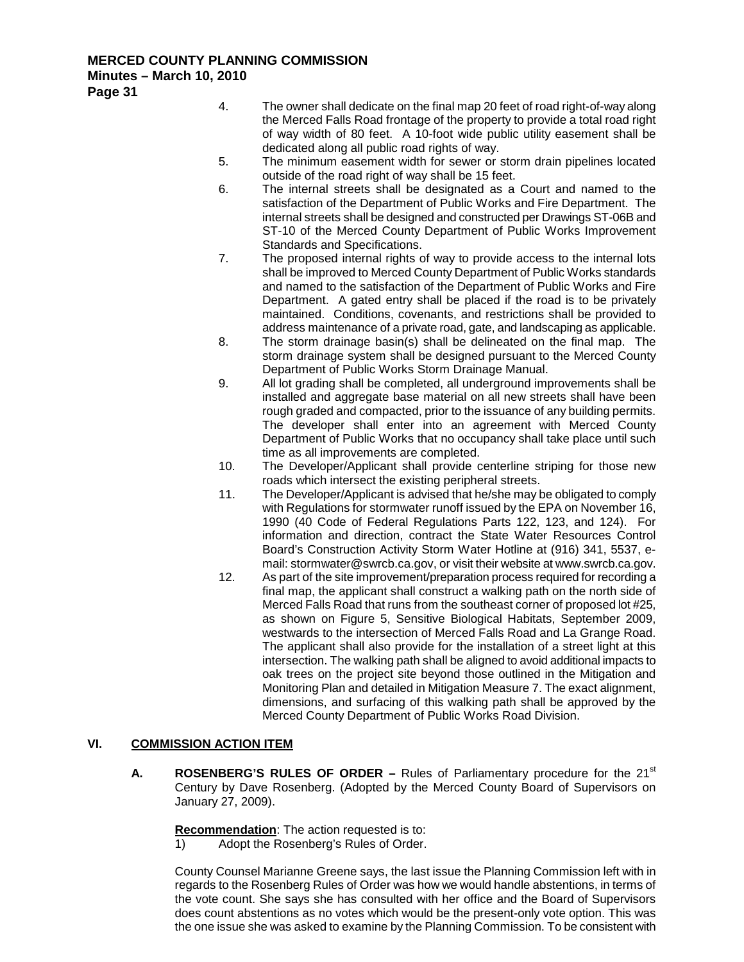4. The owner shall dedicate on the final map 20 feet of road right-of-way along the Merced Falls Road frontage of the property to provide a total road right of way width of 80 feet. A 10-foot wide public utility easement shall be dedicated along all public road rights of way.

- 5. The minimum easement width for sewer or storm drain pipelines located outside of the road right of way shall be 15 feet.
- 6. The internal streets shall be designated as a Court and named to the satisfaction of the Department of Public Works and Fire Department. The internal streets shall be designed and constructed per Drawings ST-06B and ST-10 of the Merced County Department of Public Works Improvement Standards and Specifications.
- 7. The proposed internal rights of way to provide access to the internal lots shall be improved to Merced County Department of Public Works standards and named to the satisfaction of the Department of Public Works and Fire Department. A gated entry shall be placed if the road is to be privately maintained. Conditions, covenants, and restrictions shall be provided to address maintenance of a private road, gate, and landscaping as applicable.
- 8. The storm drainage basin(s) shall be delineated on the final map. The storm drainage system shall be designed pursuant to the Merced County Department of Public Works Storm Drainage Manual.
- 9. All lot grading shall be completed, all underground improvements shall be installed and aggregate base material on all new streets shall have been rough graded and compacted, prior to the issuance of any building permits. The developer shall enter into an agreement with Merced County Department of Public Works that no occupancy shall take place until such time as all improvements are completed.
- 10. The Developer/Applicant shall provide centerline striping for those new roads which intersect the existing peripheral streets.
- 11. The Developer/Applicant is advised that he/she may be obligated to comply with Regulations for stormwater runoff issued by the EPA on November 16, 1990 (40 Code of Federal Regulations Parts 122, 123, and 124). For information and direction, contract the State Water Resources Control Board's Construction Activity Storm Water Hotline at (916) 341, 5537, email[: stormwater@swrcb.ca.gov,](mailto:stormwater@swrcb.ca.gov) or visit their website a[t www.swrcb.ca.gov.](http://www.swrcb.ca.gov/)
- 12. As part of the site improvement/preparation process required for recording a final map, the applicant shall construct a walking path on the north side of Merced Falls Road that runs from the southeast corner of proposed lot #25, as shown on Figure 5, Sensitive Biological Habitats, September 2009, westwards to the intersection of Merced Falls Road and La Grange Road. The applicant shall also provide for the installation of a street light at this intersection. The walking path shall be aligned to avoid additional impacts to oak trees on the project site beyond those outlined in the Mitigation and Monitoring Plan and detailed in Mitigation Measure 7. The exact alignment, dimensions, and surfacing of this walking path shall be approved by the Merced County Department of Public Works Road Division.

#### **VI. COMMISSION ACTION ITEM**

**A. ROSENBERG'S RULES OF ORDER** – Rules of Parliamentary procedure for the 21<sup>st</sup> Century by Dave Rosenberg. (Adopted by the Merced County Board of Supervisors on January 27, 2009).

**Recommendation** : The action requested is to:

1) Adopt the Rosenberg's Rules of Order.

County Counsel Marianne Greene says, the last issue the Planning Commission left with in regards to the Rosenberg Rules of Order was how we would handle abstentions, in terms of the vote count. She says she has consulted with her office and the Board of Supervisors does count abstentions as no votes which would be the present-only vote option. This was the one issue she was asked to examine by the Planning Commission. To be consistent with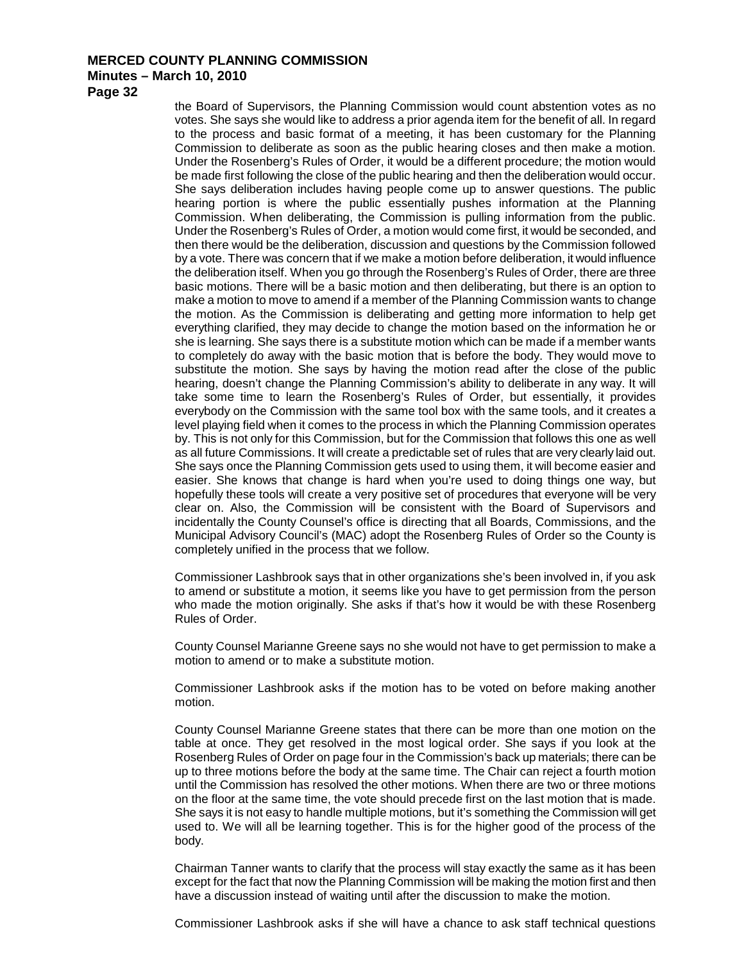**Page 32**

the Board of Supervisors, the Planning Commission would count abstention votes as no votes. She says she would like to address a prior agenda item for the benefit of all. In regard to the process and basic format of a meeting, it has been customary for the Planning Commission to deliberate as soon as the public hearing closes and then make a motion. Under the Rosenberg's Rules of Order, it would be a different procedure; the motion would be made first following the close of the public hearing and then the deliberation would occur. She says deliberation includes having people come up to answer questions. The public hearing portion is where the public essentially pushes information at the Planning Commission. When deliberating, the Commission is pulling information from the public. Under the Rosenberg's Rules of Order, a motion would come first, it would be seconded, and then there would be the deliberation, discussion and questions by the Commission followed by a vote. There was concern that if we make a motion before deliberation, it would influence the deliberation itself. When you go through the Rosenberg's Rules of Order, there are three basic motions. There will be a basic motion and then deliberating, but there is an option to make a motion to move to amend if a member of the Planning Commission wants to change the motion. As the Commission is deliberating and getting more information to help get everything clarified, they may decide to change the motion based on the information he or she is learning. She says there is a substitute motion which can be made if a member wants to completely do away with the basic motion that is before the body. They would move to substitute the motion. She says by having the motion read after the close of the public hearing, doesn't change the Planning Commission's ability to deliberate in any way. It will take some time to learn the Rosenberg's Rules of Order, but essentially, it provides everybody on the Commission with the same tool box with the same tools, and it creates a level playing field when it comes to the process in which the Planning Commission operates by. This is not only for this Commission, but for the Commission that follows this one as well as all future Commissions. It will create a predictable set of rules that are very clearly laid out. She says once the Planning Commission gets used to using them, it will become easier and easier. She knows that change is hard when you're used to doing things one way, but hopefully these tools will create a very positive set of procedures that everyone will be very clear on. Also, the Commission will be consistent with the Board of Supervisors and incidentally the County Counsel's office is directing that all Boards, Commissions, and the Municipal Advisory Council's (MAC) adopt the Rosenberg Rules of Order so the County is completely unified in the process that we follow.

Commissioner Lashbrook says that in other organizations she's been involved in, if you ask to amend or substitute a motion, it seems like you have to get permission from the person who made the motion originally. She asks if that's how it would be with these Rosenberg Rules of Order.

County Counsel Marianne Greene says no she would not have to get permission to make a motion to amend or to make a substitute motion.

Commissioner Lashbrook asks if the motion has to be voted on before making another motion.

County Counsel Marianne Greene states that there can be more than one motion on the table at once. They get resolved in the most logical order. She says if you look at the Rosenberg Rules of Order on page four in the Commission's back up materials; there can be up to three motions before the body at the same time. The Chair can reject a fourth motion until the Commission has resolved the other motions. When there are two or three motions on the floor at the same time, the vote should precede first on the last motion that is made. She says it is not easy to handle multiple motions, but it's something the Commission will get used to. We will all be learning together. This is for the higher good of the process of the body.

Chairman Tanner wants to clarify that the process will stay exactly the same as it has been except for the fact that now the Planning Commission will be making the motion first and then have a discussion instead of waiting until after the discussion to make the motion.

Commissioner Lashbrook asks if she will have a chance to ask staff technical questions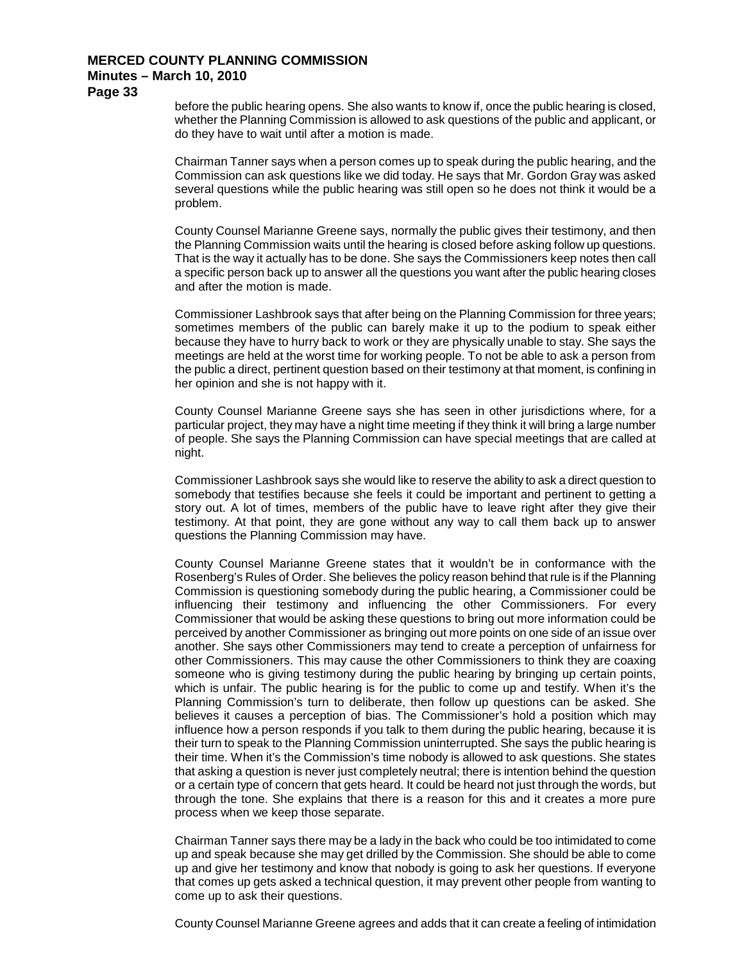**Page 33**

before the public hearing opens. She also wants to know if, once the public hearing is closed, whether the Planning Commission is allowed to ask questions of the public and applicant, or do they have to wait until after a motion is made.

Chairman Tanner says when a person comes up to speak during the public hearing, and the Commission can ask questions like we did today. He says that Mr. Gordon Gray was asked several questions while the public hearing was still open so he does not think it would be a problem.

County Counsel Marianne Greene says, normally the public gives their testimony, and then the Planning Commission waits until the hearing is closed before asking follow up questions. That is the way it actually has to be done. She says the Commissioners keep notes then call a specific person back up to answer all the questions you want after the public hearing closes and after the motion is made.

Commissioner Lashbrook says that after being on the Planning Commission for three years; sometimes members of the public can barely make it up to the podium to speak either because they have to hurry back to work or they are physically unable to stay. She says the meetings are held at the worst time for working people. To not be able to ask a person from the public a direct, pertinent question based on their testimony at that moment, is confining in her opinion and she is not happy with it.

County Counsel Marianne Greene says she has seen in other jurisdictions where, for a particular project, they may have a night time meeting if they think it will bring a large number of people. She says the Planning Commission can have special meetings that are called at night.

Commissioner Lashbrook says she would like to reserve the ability to ask a direct question to somebody that testifies because she feels it could be important and pertinent to getting a story out. A lot of times, members of the public have to leave right after they give their testimony. At that point, they are gone without any way to call them back up to answer questions the Planning Commission may have.

County Counsel Marianne Greene states that it wouldn't be in conformance with the Rosenberg's Rules of Order. She believes the policy reason behind that rule is if the Planning Commission is questioning somebody during the public hearing, a Commissioner could be influencing their testimony and influencing the other Commissioners. For every Commissioner that would be asking these questions to bring out more information could be perceived by another Commissioner as bringing out more points on one side of an issue over another. She says other Commissioners may tend to create a perception of unfairness for other Commissioners. This may cause the other Commissioners to think they are coaxing someone who is giving testimony during the public hearing by bringing up certain points, which is unfair. The public hearing is for the public to come up and testify. When it's the Planning Commission's turn to deliberate, then follow up questions can be asked. She believes it causes a perception of bias. The Commissioner's hold a position which may influence how a person responds if you talk to them during the public hearing, because it is their turn to speak to the Planning Commission uninterrupted. She says the public hearing is their time. When it's the Commission's time nobody is allowed to ask questions. She states that asking a question is never just completely neutral; there is intention behind the question or a certain type of concern that gets heard. It could be heard not just through the words, but through the tone. She explains that there is a reason for this and it creates a more pure process when we keep those separate.

Chairman Tanner says there may be a lady in the back who could be too intimidated to come up and speak because she may get drilled by the Commission. She should be able to come up and give her testimony and know that nobody is going to ask her questions. If everyone that comes up gets asked a technical question, it may prevent other people from wanting to come up to ask their questions.

County Counsel Marianne Greene agrees and adds that it can create a feeling of intimidation